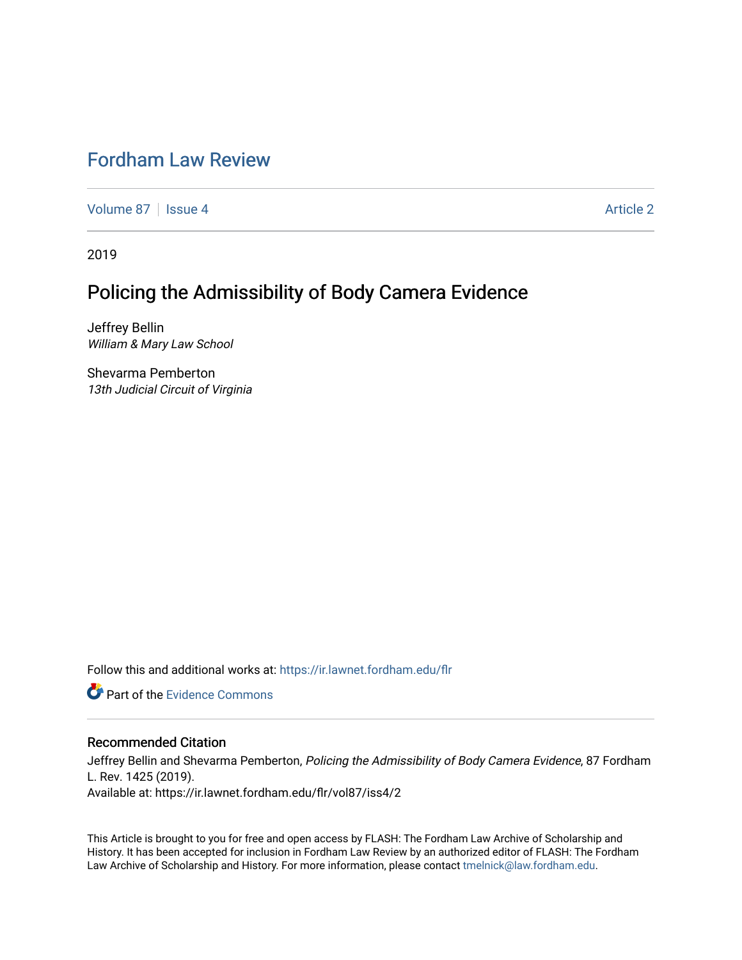# [Fordham Law Review](https://ir.lawnet.fordham.edu/flr)

[Volume 87](https://ir.lawnet.fordham.edu/flr/vol87) | [Issue 4](https://ir.lawnet.fordham.edu/flr/vol87/iss4) Article 2

2019

# Policing the Admissibility of Body Camera Evidence

Jeffrey Bellin William & Mary Law School

Shevarma Pemberton 13th Judicial Circuit of Virginia

Follow this and additional works at: [https://ir.lawnet.fordham.edu/flr](https://ir.lawnet.fordham.edu/flr?utm_source=ir.lawnet.fordham.edu%2Fflr%2Fvol87%2Fiss4%2F2&utm_medium=PDF&utm_campaign=PDFCoverPages)

**C** Part of the Evidence Commons

# Recommended Citation

Jeffrey Bellin and Shevarma Pemberton, Policing the Admissibility of Body Camera Evidence, 87 Fordham L. Rev. 1425 (2019). Available at: https://ir.lawnet.fordham.edu/flr/vol87/iss4/2

This Article is brought to you for free and open access by FLASH: The Fordham Law Archive of Scholarship and History. It has been accepted for inclusion in Fordham Law Review by an authorized editor of FLASH: The Fordham Law Archive of Scholarship and History. For more information, please contact [tmelnick@law.fordham.edu](mailto:tmelnick@law.fordham.edu).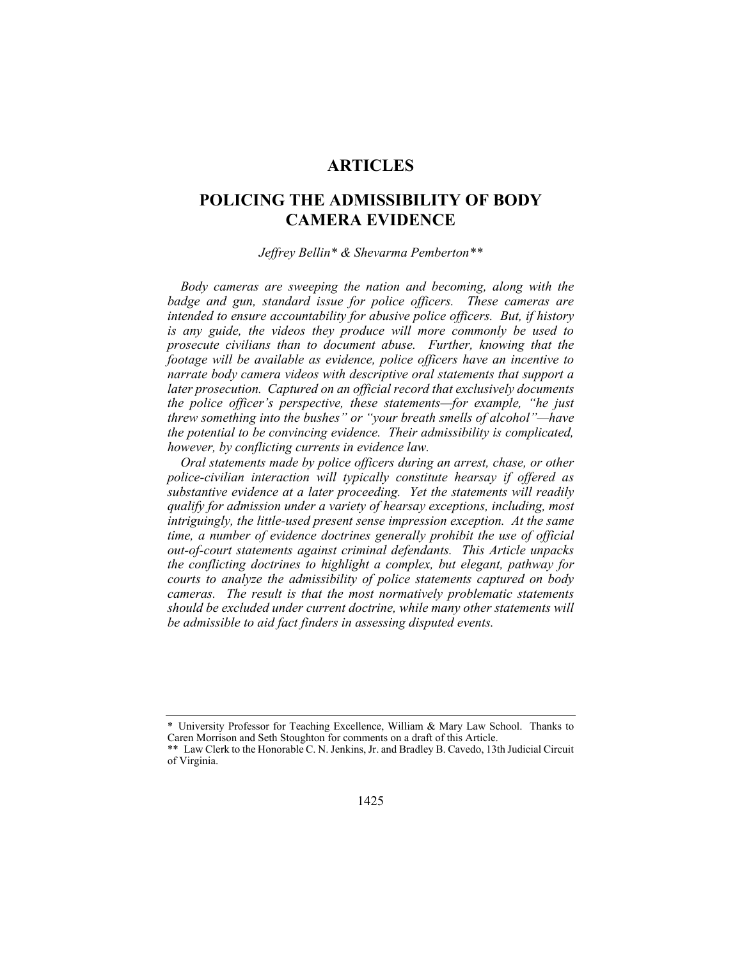# **ARTICLES**

# **POLICING THE ADMISSIBILITY OF BODY CAMERA EVIDENCE**

#### *Jeffrey Bellin\* & Shevarma Pemberton\*\**

*Body cameras are sweeping the nation and becoming, along with the badge and gun, standard issue for police officers. These cameras are intended to ensure accountability for abusive police officers. But, if history is any guide, the videos they produce will more commonly be used to prosecute civilians than to document abuse. Further, knowing that the footage will be available as evidence, police officers have an incentive to narrate body camera videos with descriptive oral statements that support a later prosecution. Captured on an official record that exclusively documents the police officer's perspective, these statements—for example, "he just threw something into the bushes" or "your breath smells of alcohol"—have the potential to be convincing evidence. Their admissibility is complicated, however, by conflicting currents in evidence law.* 

*Oral statements made by police officers during an arrest, chase, or other police-civilian interaction will typically constitute hearsay if offered as substantive evidence at a later proceeding. Yet the statements will readily qualify for admission under a variety of hearsay exceptions, including, most intriguingly, the little-used present sense impression exception. At the same time, a number of evidence doctrines generally prohibit the use of official out-of-court statements against criminal defendants. This Article unpacks the conflicting doctrines to highlight a complex, but elegant, pathway for courts to analyze the admissibility of police statements captured on body cameras. The result is that the most normatively problematic statements should be excluded under current doctrine, while many other statements will be admissible to aid fact finders in assessing disputed events.* 

<sup>\*</sup> University Professor for Teaching Excellence, William & Mary Law School. Thanks to Caren Morrison and Seth Stoughton for comments on a draft of this Article.

<sup>\*\*</sup> Law Clerk to the Honorable C. N. Jenkins, Jr. and Bradley B. Cavedo, 13th Judicial Circuit of Virginia.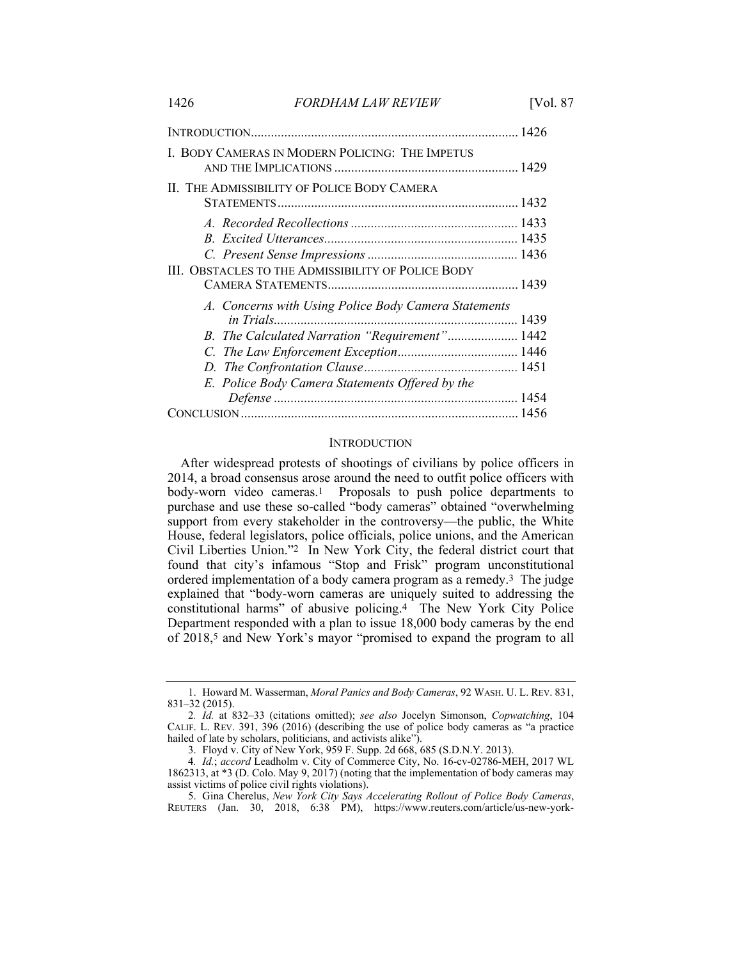|                                                           | 1426 |
|-----------------------------------------------------------|------|
| L. BODY CAMERAS IN MODERN POLICING: THE IMPETUS           |      |
| II. THE ADMISSIBILITY OF POLICE BODY CAMERA               |      |
|                                                           |      |
|                                                           |      |
|                                                           |      |
| <b>III. OBSTACLES TO THE ADMISSIBILITY OF POLICE BODY</b> |      |
| A. Concerns with Using Police Body Camera Statements      |      |
|                                                           |      |
| B. The Calculated Narration "Requirement" 1442            |      |
|                                                           |      |
|                                                           |      |
| E. Police Body Camera Statements Offered by the           |      |
|                                                           |      |
|                                                           |      |

#### **INTRODUCTION**

After widespread protests of shootings of civilians by police officers in 2014, a broad consensus arose around the need to outfit police officers with body-worn video cameras.1 Proposals to push police departments to purchase and use these so-called "body cameras" obtained "overwhelming support from every stakeholder in the controversy—the public, the White House, federal legislators, police officials, police unions, and the American Civil Liberties Union."2 In New York City, the federal district court that found that city's infamous "Stop and Frisk" program unconstitutional ordered implementation of a body camera program as a remedy.3 The judge explained that "body-worn cameras are uniquely suited to addressing the constitutional harms" of abusive policing.4 The New York City Police Department responded with a plan to issue 18,000 body cameras by the end of 2018,5 and New York's mayor "promised to expand the program to all

 <sup>1.</sup> Howard M. Wasserman, *Moral Panics and Body Cameras*, 92 WASH. U. L. REV. 831, 831–32 (2015).

<sup>2</sup>*. Id.* at 832–33 (citations omitted); *see also* Jocelyn Simonson, *Copwatching*, 104 CALIF. L. REV. 391, 396 (2016) (describing the use of police body cameras as "a practice hailed of late by scholars, politicians, and activists alike").

 <sup>3.</sup> Floyd v. City of New York, 959 F. Supp. 2d 668, 685 (S.D.N.Y. 2013).

<sup>4</sup>*. Id.*; *accord* Leadholm v. City of Commerce City, No. 16-cv-02786-MEH, 2017 WL 1862313, at \*3 (D. Colo. May 9, 2017) (noting that the implementation of body cameras may assist victims of police civil rights violations).

 <sup>5.</sup> Gina Cherelus, *New York City Says Accelerating Rollout of Police Body Cameras*, REUTERS (Jan. 30, 2018, 6:38 PM), https://www.reuters.com/article/us-new-york-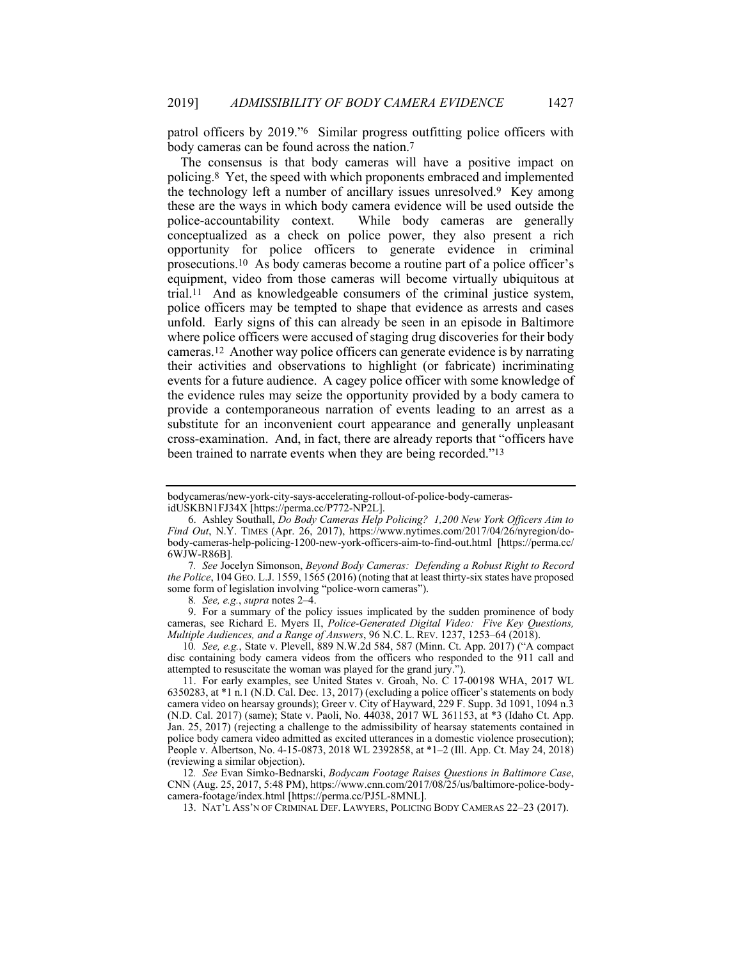patrol officers by 2019."6 Similar progress outfitting police officers with body cameras can be found across the nation.7

The consensus is that body cameras will have a positive impact on policing.8 Yet, the speed with which proponents embraced and implemented the technology left a number of ancillary issues unresolved.9 Key among these are the ways in which body camera evidence will be used outside the police-accountability context. While body cameras are generally conceptualized as a check on police power, they also present a rich opportunity for police officers to generate evidence in criminal prosecutions.10 As body cameras become a routine part of a police officer's equipment, video from those cameras will become virtually ubiquitous at trial.11 And as knowledgeable consumers of the criminal justice system, police officers may be tempted to shape that evidence as arrests and cases unfold. Early signs of this can already be seen in an episode in Baltimore where police officers were accused of staging drug discoveries for their body cameras.12 Another way police officers can generate evidence is by narrating their activities and observations to highlight (or fabricate) incriminating events for a future audience. A cagey police officer with some knowledge of the evidence rules may seize the opportunity provided by a body camera to provide a contemporaneous narration of events leading to an arrest as a substitute for an inconvenient court appearance and generally unpleasant cross-examination. And, in fact, there are already reports that "officers have been trained to narrate events when they are being recorded."13

8*. See, e.g.*, *supra* notes 2–4.

 9. For a summary of the policy issues implicated by the sudden prominence of body cameras, see Richard E. Myers II, *Police-Generated Digital Video: Five Key Questions, Multiple Audiences, and a Range of Answers*, 96 N.C. L. REV. 1237, 1253–64 (2018).

10*. See, e.g.*, State v. Plevell, 889 N.W.2d 584, 587 (Minn. Ct. App. 2017) ("A compact disc containing body camera videos from the officers who responded to the 911 call and attempted to resuscitate the woman was played for the grand jury.").

 11. For early examples, see United States v. Groah, No. C 17-00198 WHA, 2017 WL 6350283, at \*1 n.1 (N.D. Cal. Dec. 13, 2017) (excluding a police officer's statements on body camera video on hearsay grounds); Greer v. City of Hayward, 229 F. Supp. 3d 1091, 1094 n.3 (N.D. Cal. 2017) (same); State v. Paoli, No. 44038, 2017 WL 361153, at \*3 (Idaho Ct. App. Jan. 25, 2017) (rejecting a challenge to the admissibility of hearsay statements contained in police body camera video admitted as excited utterances in a domestic violence prosecution); People v. Albertson, No. 4-15-0873, 2018 WL 2392858, at \*1–2 (Ill. App. Ct. May 24, 2018) (reviewing a similar objection).

12*. See* Evan Simko-Bednarski, *Bodycam Footage Raises Questions in Baltimore Case*, CNN (Aug. 25, 2017, 5:48 PM), https://www.cnn.com/2017/08/25/us/baltimore-police-bodycamera-footage/index.html [https://perma.cc/PJ5L-8MNL].

13. NAT'L ASS'N OF CRIMINAL DEF. LAWYERS, POLICING BODY CAMERAS 22–23 (2017).

bodycameras/new-york-city-says-accelerating-rollout-of-police-body-camerasidUSKBN1FJ34X [https://perma.cc/P772-NP2L].

 <sup>6.</sup> Ashley Southall, *Do Body Cameras Help Policing? 1,200 New York Officers Aim to Find Out*, N.Y. TIMES (Apr. 26, 2017), https://www.nytimes.com/2017/04/26/nyregion/dobody-cameras-help-policing-1200-new-york-officers-aim-to-find-out.html [https://perma.cc/ 6WJW-R86B].

<sup>7</sup>*. See* Jocelyn Simonson, *Beyond Body Cameras: Defending a Robust Right to Record the Police*, 104 GEO. L.J. 1559, 1565 (2016) (noting that at least thirty-six states have proposed some form of legislation involving "police-worn cameras").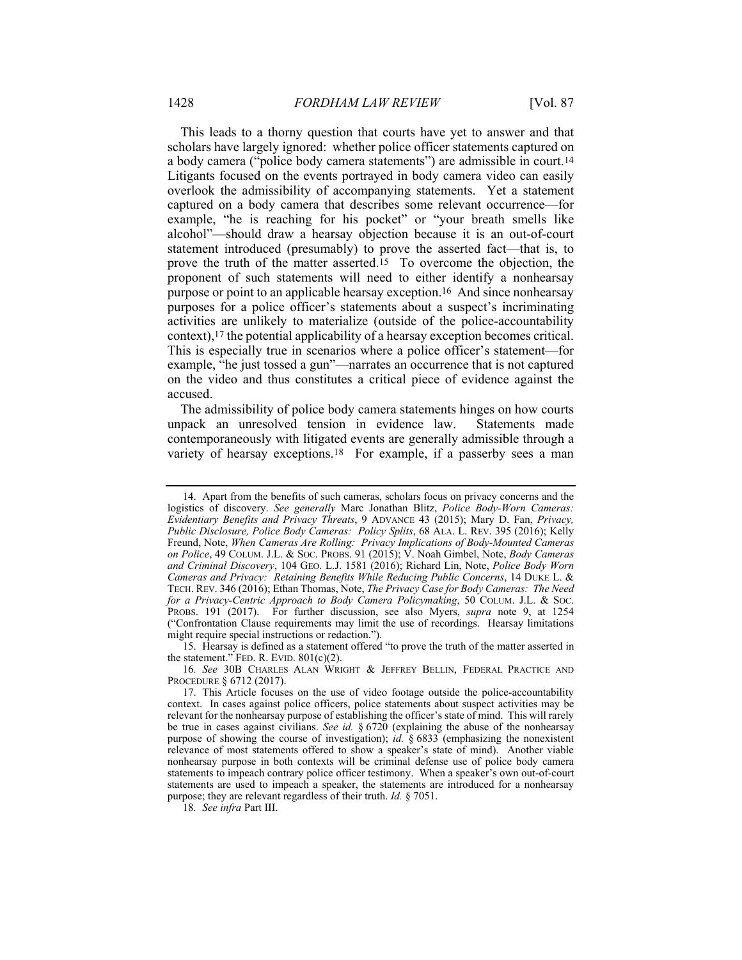This leads to a thorny question that courts have yet to answer and that scholars have largely ignored: whether police officer statements captured on a body camera ("police body camera statements") are admissible in court.14 Litigants focused on the events portrayed in body camera video can easily overlook the admissibility of accompanying statements. Yet a statement captured on a body camera that describes some relevant occurrence—for example, "he is reaching for his pocket" or "your breath smells like alcohol"—should draw a hearsay objection because it is an out-of-court statement introduced (presumably) to prove the asserted fact—that is, to prove the truth of the matter asserted.15 To overcome the objection, the proponent of such statements will need to either identify a nonhearsay purpose or point to an applicable hearsay exception.16 And since nonhearsay purposes for a police officer's statements about a suspect's incriminating activities are unlikely to materialize (outside of the police-accountability context),17 the potential applicability of a hearsay exception becomes critical. This is especially true in scenarios where a police officer's statement—for example, "he just tossed a gun"—narrates an occurrence that is not captured on the video and thus constitutes a critical piece of evidence against the accused.

The admissibility of police body camera statements hinges on how courts unpack an unresolved tension in evidence law. Statements made contemporaneously with litigated events are generally admissible through a variety of hearsay exceptions.<sup>18</sup> For example, if a passerby sees a man

18*. See infra* Part III.

 <sup>14.</sup> Apart from the benefits of such cameras, scholars focus on privacy concerns and the logistics of discovery. *See generally* Marc Jonathan Blitz, *Police Body-Worn Cameras: Evidentiary Benefits and Privacy Threats*, 9 ADVANCE 43 (2015); Mary D. Fan, *Privacy, Public Disclosure, Police Body Cameras: Policy Splits*, 68 ALA. L. REV. 395 (2016); Kelly Freund, Note, *When Cameras Are Rolling: Privacy Implications of Body-Mounted Cameras on Police*, 49 COLUM. J.L. & SOC. PROBS. 91 (2015); V. Noah Gimbel, Note, *Body Cameras and Criminal Discovery*, 104 GEO. L.J. 1581 (2016); Richard Lin, Note, *Police Body Worn Cameras and Privacy: Retaining Benefits While Reducing Public Concerns*, 14 DUKE L. & TECH. REV. 346 (2016); Ethan Thomas, Note, *The Privacy Case for Body Cameras: The Need for a Privacy-Centric Approach to Body Camera Policymaking*, 50 COLUM. J.L. & SOC. PROBS. 191 (2017). For further discussion, see also Myers, *supra* note 9, at 1254 ("Confrontation Clause requirements may limit the use of recordings. Hearsay limitations might require special instructions or redaction.").

 <sup>15.</sup> Hearsay is defined as a statement offered "to prove the truth of the matter asserted in the statement." FED. R. EVID.  $801(c)(2)$ .

<sup>16</sup>*. See* 30B CHARLES ALAN WRIGHT & JEFFREY BELLIN, FEDERAL PRACTICE AND PROCEDURE § 6712 (2017).

 <sup>17.</sup> This Article focuses on the use of video footage outside the police-accountability context. In cases against police officers, police statements about suspect activities may be relevant for the nonhearsay purpose of establishing the officer's state of mind. This will rarely be true in cases against civilians. *See id.* § 6720 (explaining the abuse of the nonhearsay purpose of showing the course of investigation); *id.* § 6833 (emphasizing the nonexistent relevance of most statements offered to show a speaker's state of mind). Another viable nonhearsay purpose in both contexts will be criminal defense use of police body camera statements to impeach contrary police officer testimony. When a speaker's own out-of-court statements are used to impeach a speaker, the statements are introduced for a nonhearsay purpose; they are relevant regardless of their truth. *Id.* § 7051.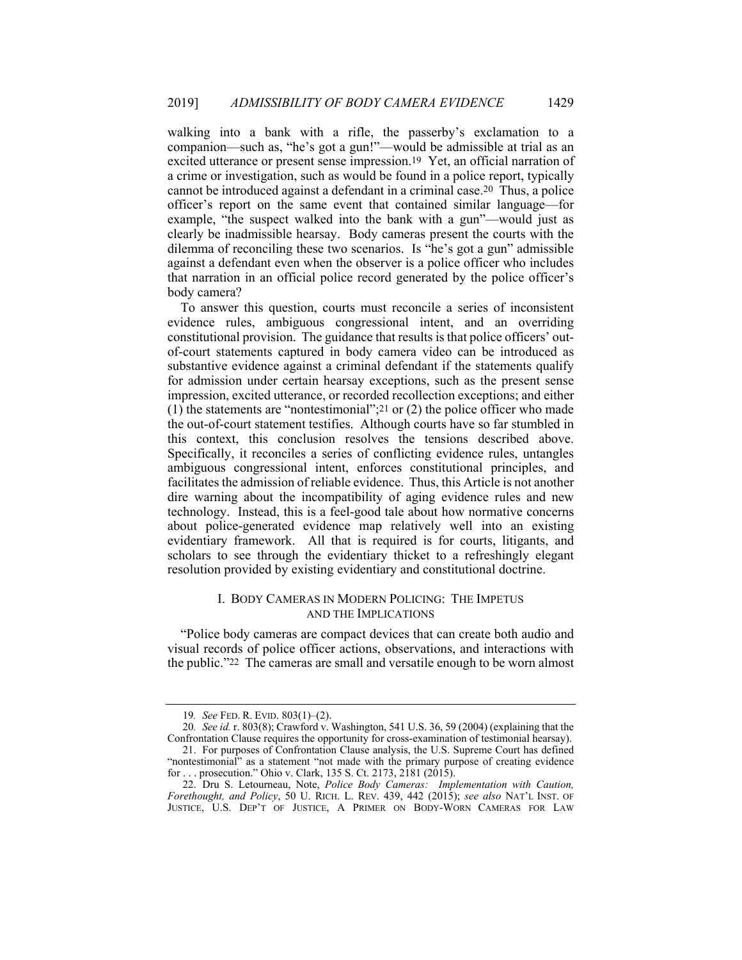walking into a bank with a rifle, the passerby's exclamation to a companion—such as, "he's got a gun!"—would be admissible at trial as an excited utterance or present sense impression.19 Yet, an official narration of a crime or investigation, such as would be found in a police report, typically cannot be introduced against a defendant in a criminal case.20 Thus, a police officer's report on the same event that contained similar language—for example, "the suspect walked into the bank with a gun"—would just as clearly be inadmissible hearsay. Body cameras present the courts with the dilemma of reconciling these two scenarios. Is "he's got a gun" admissible against a defendant even when the observer is a police officer who includes that narration in an official police record generated by the police officer's body camera?

To answer this question, courts must reconcile a series of inconsistent evidence rules, ambiguous congressional intent, and an overriding constitutional provision. The guidance that results is that police officers' outof-court statements captured in body camera video can be introduced as substantive evidence against a criminal defendant if the statements qualify for admission under certain hearsay exceptions, such as the present sense impression, excited utterance, or recorded recollection exceptions; and either (1) the statements are "nontestimonial";<sup>21</sup> or (2) the police officer who made the out-of-court statement testifies. Although courts have so far stumbled in this context, this conclusion resolves the tensions described above. Specifically, it reconciles a series of conflicting evidence rules, untangles ambiguous congressional intent, enforces constitutional principles, and facilitates the admission of reliable evidence. Thus, this Article is not another dire warning about the incompatibility of aging evidence rules and new technology. Instead, this is a feel-good tale about how normative concerns about police-generated evidence map relatively well into an existing evidentiary framework. All that is required is for courts, litigants, and scholars to see through the evidentiary thicket to a refreshingly elegant resolution provided by existing evidentiary and constitutional doctrine.

## I. BODY CAMERAS IN MODERN POLICING: THE IMPETUS AND THE IMPLICATIONS

"Police body cameras are compact devices that can create both audio and visual records of police officer actions, observations, and interactions with the public."22 The cameras are small and versatile enough to be worn almost

<sup>19</sup>*. See* FED. R. EVID. 803(1)–(2).

<sup>20</sup>*. See id.* r. 803(8); Crawford v. Washington, 541 U.S. 36, 59 (2004) (explaining that the Confrontation Clause requires the opportunity for cross-examination of testimonial hearsay).

 <sup>21.</sup> For purposes of Confrontation Clause analysis, the U.S. Supreme Court has defined "nontestimonial" as a statement "not made with the primary purpose of creating evidence for . . . prosecution." Ohio v. Clark, 135 S. Ct. 2173, 2181 (2015).

 <sup>22.</sup> Dru S. Letourneau, Note, *Police Body Cameras: Implementation with Caution, Forethought, and Policy*, 50 U. RICH. L. REV. 439, 442 (2015); *see also* NAT'L INST. OF JUSTICE, U.S. DEP'T OF JUSTICE, A PRIMER ON BODY-WORN CAMERAS FOR LAW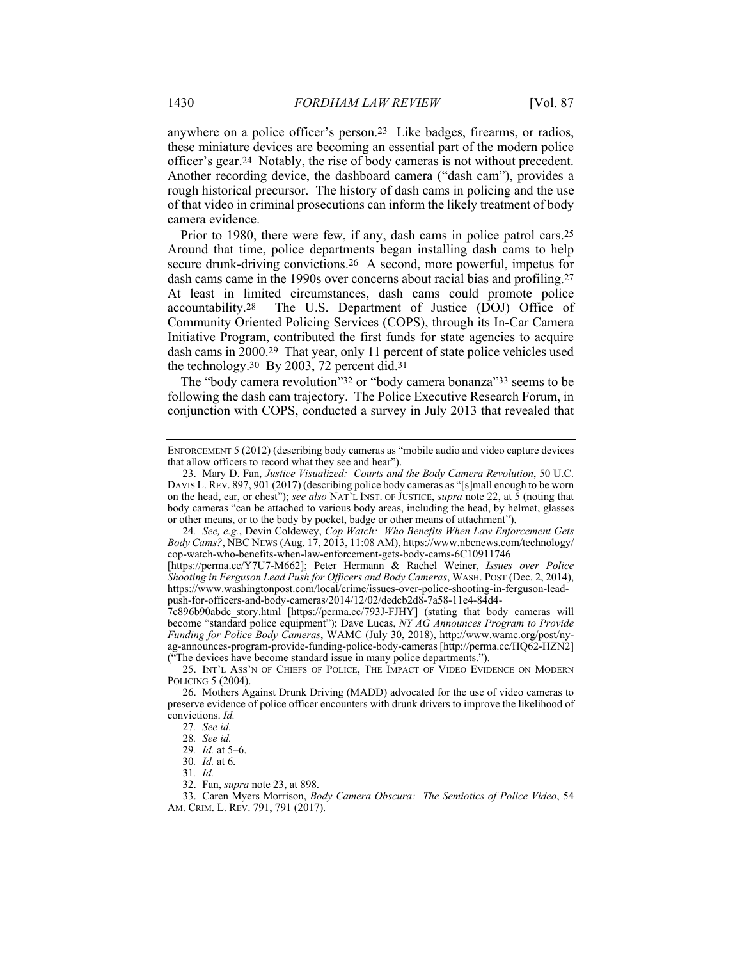anywhere on a police officer's person.23 Like badges, firearms, or radios, these miniature devices are becoming an essential part of the modern police officer's gear.24 Notably, the rise of body cameras is not without precedent. Another recording device, the dashboard camera ("dash cam"), provides a rough historical precursor. The history of dash cams in policing and the use of that video in criminal prosecutions can inform the likely treatment of body camera evidence.

Prior to 1980, there were few, if any, dash cams in police patrol cars.25 Around that time, police departments began installing dash cams to help secure drunk-driving convictions.26 A second, more powerful, impetus for dash cams came in the 1990s over concerns about racial bias and profiling.27 At least in limited circumstances, dash cams could promote police accountability.<sup>28</sup> The U.S. Department of Justice (DOJ) Office of Community Oriented Policing Services (COPS), through its In-Car Camera Initiative Program, contributed the first funds for state agencies to acquire dash cams in 2000.29 That year, only 11 percent of state police vehicles used the technology.30 By 2003, 72 percent did.31

The "body camera revolution"32 or "body camera bonanza"33 seems to be following the dash cam trajectory. The Police Executive Research Forum, in conjunction with COPS, conducted a survey in July 2013 that revealed that

7c896b90abdc\_story.html [https://perma.cc/793J-FJHY] (stating that body cameras will become "standard police equipment"); Dave Lucas, *NY AG Announces Program to Provide Funding for Police Body Cameras*, WAMC (July 30, 2018), http://www.wamc.org/post/nyag-announces-program-provide-funding-police-body-cameras [http://perma.cc/HQ62-HZN2] ("The devices have become standard issue in many police departments.").

ENFORCEMENT 5 (2012) (describing body cameras as "mobile audio and video capture devices that allow officers to record what they see and hear").

 <sup>23.</sup> Mary D. Fan, *Justice Visualized: Courts and the Body Camera Revolution*, 50 U.C. DAVIS L. REV. 897, 901 (2017) (describing police body cameras as "[s]mall enough to be worn on the head, ear, or chest"); *see also* NAT'L INST. OF JUSTICE, *supra* note 22, at 5 (noting that body cameras "can be attached to various body areas, including the head, by helmet, glasses or other means, or to the body by pocket, badge or other means of attachment").

<sup>24</sup>*. See, e.g.*, Devin Coldewey, *Cop Watch: Who Benefits When Law Enforcement Gets Body Cams?*, NBC NEWS (Aug. 17, 2013, 11:08 AM), https://www.nbcnews.com/technology/ cop-watch-who-benefits-when-law-enforcement-gets-body-cams-6C10911746

<sup>[</sup>https://perma.cc/Y7U7-M662]; Peter Hermann & Rachel Weiner, *Issues over Police Shooting in Ferguson Lead Push for Officers and Body Cameras*, WASH. POST (Dec. 2, 2014), https://www.washingtonpost.com/local/crime/issues-over-police-shooting-in-ferguson-leadpush-for-officers-and-body-cameras/2014/12/02/dedcb2d8-7a58-11e4-84d4-

 <sup>25.</sup> INT'L ASS'N OF CHIEFS OF POLICE, THE IMPACT OF VIDEO EVIDENCE ON MODERN POLICING 5 (2004).

 <sup>26.</sup> Mothers Against Drunk Driving (MADD) advocated for the use of video cameras to preserve evidence of police officer encounters with drunk drivers to improve the likelihood of convictions. *Id.*

<sup>27</sup>*. See id.*

<sup>28</sup>*. See id.*

<sup>29</sup>*. Id.* at 5–6.

<sup>30</sup>*. Id.* at 6.

<sup>31</sup>*. Id.*

 <sup>32.</sup> Fan, *supra* note 23, at 898.

 <sup>33.</sup> Caren Myers Morrison, *Body Camera Obscura: The Semiotics of Police Video*, 54 AM. CRIM. L. REV. 791, 791 (2017).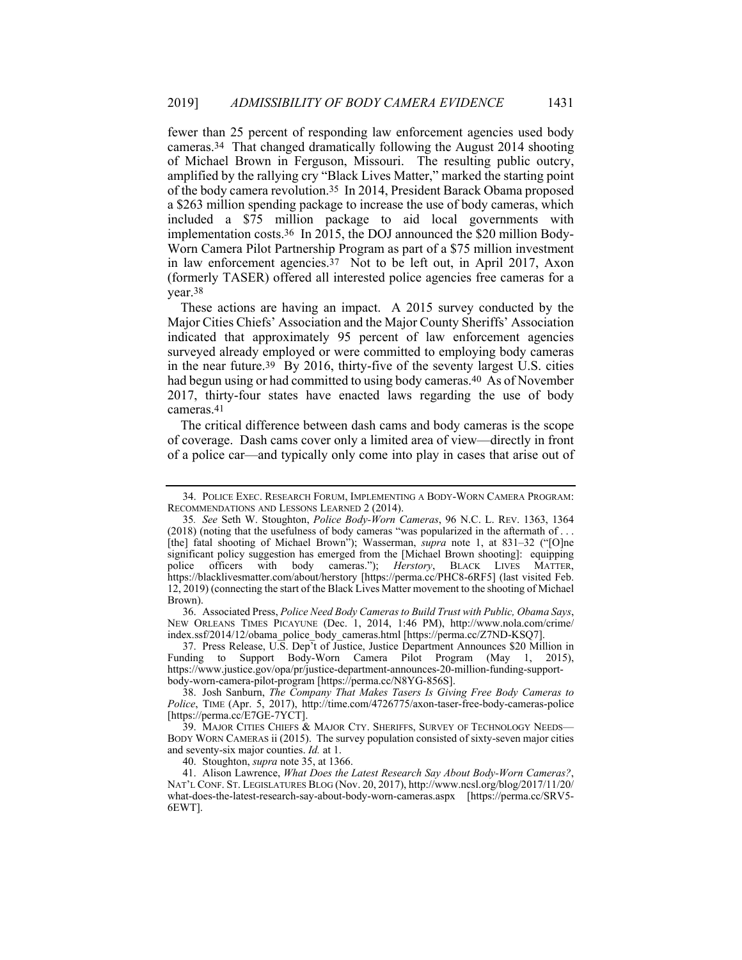fewer than 25 percent of responding law enforcement agencies used body cameras.34 That changed dramatically following the August 2014 shooting of Michael Brown in Ferguson, Missouri. The resulting public outcry, amplified by the rallying cry "Black Lives Matter," marked the starting point of the body camera revolution.35 In 2014, President Barack Obama proposed a \$263 million spending package to increase the use of body cameras, which included a \$75 million package to aid local governments with implementation costs.36 In 2015, the DOJ announced the \$20 million Body-Worn Camera Pilot Partnership Program as part of a \$75 million investment in law enforcement agencies.37 Not to be left out, in April 2017, Axon (formerly TASER) offered all interested police agencies free cameras for a year.38

These actions are having an impact. A 2015 survey conducted by the Major Cities Chiefs' Association and the Major County Sheriffs' Association indicated that approximately 95 percent of law enforcement agencies surveyed already employed or were committed to employing body cameras in the near future.39 By 2016, thirty-five of the seventy largest U.S. cities had begun using or had committed to using body cameras.<sup>40</sup> As of November 2017, thirty-four states have enacted laws regarding the use of body cameras.41

The critical difference between dash cams and body cameras is the scope of coverage. Dash cams cover only a limited area of view—directly in front of a police car—and typically only come into play in cases that arise out of

 36. Associated Press, *Police Need Body Cameras to Build Trust with Public, Obama Says*, NEW ORLEANS TIMES PICAYUNE (Dec. 1, 2014, 1:46 PM), http://www.nola.com/crime/ index.ssf/2014/12/obama\_police\_body\_cameras.html [https://perma.cc/Z7ND-KSQ7].

 37. Press Release, U.S. Dep't of Justice, Justice Department Announces \$20 Million in Funding to Support Body-Worn Camera Pilot Program (May 1, 2015), https://www.justice.gov/opa/pr/justice-department-announces-20-million-funding-supportbody-worn-camera-pilot-program [https://perma.cc/N8YG-856S].

 38. Josh Sanburn, *The Company That Makes Tasers Is Giving Free Body Cameras to Police*, TIME (Apr. 5, 2017), http://time.com/4726775/axon-taser-free-body-cameras-police [https://perma.cc/E7GE-7YCT].

39. MAJOR CITIES CHIEFS & MAJOR CTY. SHERIFFS, SURVEY OF TECHNOLOGY NEEDS-BODY WORN CAMERAS ii (2015). The survey population consisted of sixty-seven major cities and seventy-six major counties. *Id.* at 1.

40. Stoughton, *supra* note 35, at 1366.

 41. Alison Lawrence, *What Does the Latest Research Say About Body-Worn Cameras?*, NAT'L CONF. ST. LEGISLATURES BLOG (Nov. 20, 2017), http://www.ncsl.org/blog/2017/11/20/ what-does-the-latest-research-say-about-body-worn-cameras.aspx [https://perma.cc/SRV5- 6EWT].

 <sup>34.</sup> POLICE EXEC. RESEARCH FORUM, IMPLEMENTING A BODY-WORN CAMERA PROGRAM: RECOMMENDATIONS AND LESSONS LEARNED 2 (2014).

<sup>35</sup>*. See* Seth W. Stoughton, *Police Body-Worn Cameras*, 96 N.C. L. REV. 1363, 1364 (2018) (noting that the usefulness of body cameras "was popularized in the aftermath of . . . [the] fatal shooting of Michael Brown"); Wasserman, *supra* note 1, at 831–32 ("[O]ne significant policy suggestion has emerged from the [Michael Brown shooting]: equipping police officers with body cameras."); *Herstory*, BLACK LIVES MATTER, https://blacklivesmatter.com/about/herstory [https://perma.cc/PHC8-6RF5] (last visited Feb. 12, 2019) (connecting the start of the Black Lives Matter movement to the shooting of Michael Brown).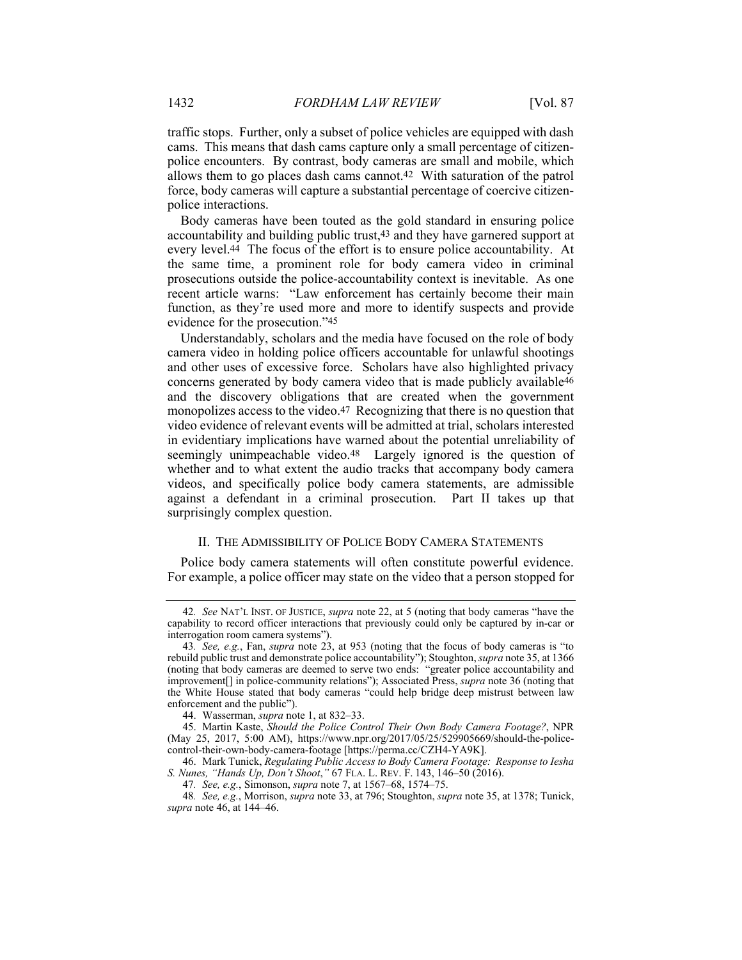traffic stops. Further, only a subset of police vehicles are equipped with dash cams. This means that dash cams capture only a small percentage of citizenpolice encounters. By contrast, body cameras are small and mobile, which allows them to go places dash cams cannot.42 With saturation of the patrol force, body cameras will capture a substantial percentage of coercive citizenpolice interactions.

Body cameras have been touted as the gold standard in ensuring police accountability and building public trust,43 and they have garnered support at every level.44 The focus of the effort is to ensure police accountability. At the same time, a prominent role for body camera video in criminal prosecutions outside the police-accountability context is inevitable. As one recent article warns: "Law enforcement has certainly become their main function, as they're used more and more to identify suspects and provide evidence for the prosecution."45

Understandably, scholars and the media have focused on the role of body camera video in holding police officers accountable for unlawful shootings and other uses of excessive force. Scholars have also highlighted privacy concerns generated by body camera video that is made publicly available46 and the discovery obligations that are created when the government monopolizes access to the video.47 Recognizing that there is no question that video evidence of relevant events will be admitted at trial, scholars interested in evidentiary implications have warned about the potential unreliability of seemingly unimpeachable video.<sup>48</sup> Largely ignored is the question of whether and to what extent the audio tracks that accompany body camera videos, and specifically police body camera statements, are admissible against a defendant in a criminal prosecution. Part II takes up that surprisingly complex question.

### II. THE ADMISSIBILITY OF POLICE BODY CAMERA STATEMENTS

Police body camera statements will often constitute powerful evidence. For example, a police officer may state on the video that a person stopped for

<sup>42</sup>*. See* NAT'L INST. OF JUSTICE, *supra* note 22, at 5 (noting that body cameras "have the capability to record officer interactions that previously could only be captured by in-car or interrogation room camera systems").

<sup>43</sup>*. See, e.g.*, Fan, *supra* note 23, at 953 (noting that the focus of body cameras is "to rebuild public trust and demonstrate police accountability"); Stoughton, *supra* note 35, at 1366 (noting that body cameras are deemed to serve two ends: "greater police accountability and improvement[] in police-community relations"); Associated Press, *supra* note 36 (noting that the White House stated that body cameras "could help bridge deep mistrust between law enforcement and the public").

 <sup>44.</sup> Wasserman, *supra* note 1, at 832–33.

 <sup>45.</sup> Martin Kaste, *Should the Police Control Their Own Body Camera Footage?*, NPR (May 25, 2017, 5:00 AM), https://www.npr.org/2017/05/25/529905669/should-the-policecontrol-their-own-body-camera-footage [https://perma.cc/CZH4-YA9K].

 <sup>46.</sup> Mark Tunick, *Regulating Public Access to Body Camera Footage: Response to Iesha S. Nunes, "Hands Up, Don't Shoot*,*"* 67 FLA. L. REV. F. 143, 146–50 (2016).

<sup>47</sup>*. See, e.g.*, Simonson, *supra* note 7, at 1567–68, 1574–75.

<sup>48</sup>*. See, e.g.*, Morrison, *supra* note 33, at 796; Stoughton, *supra* note 35, at 1378; Tunick, *supra* note 46, at 144–46.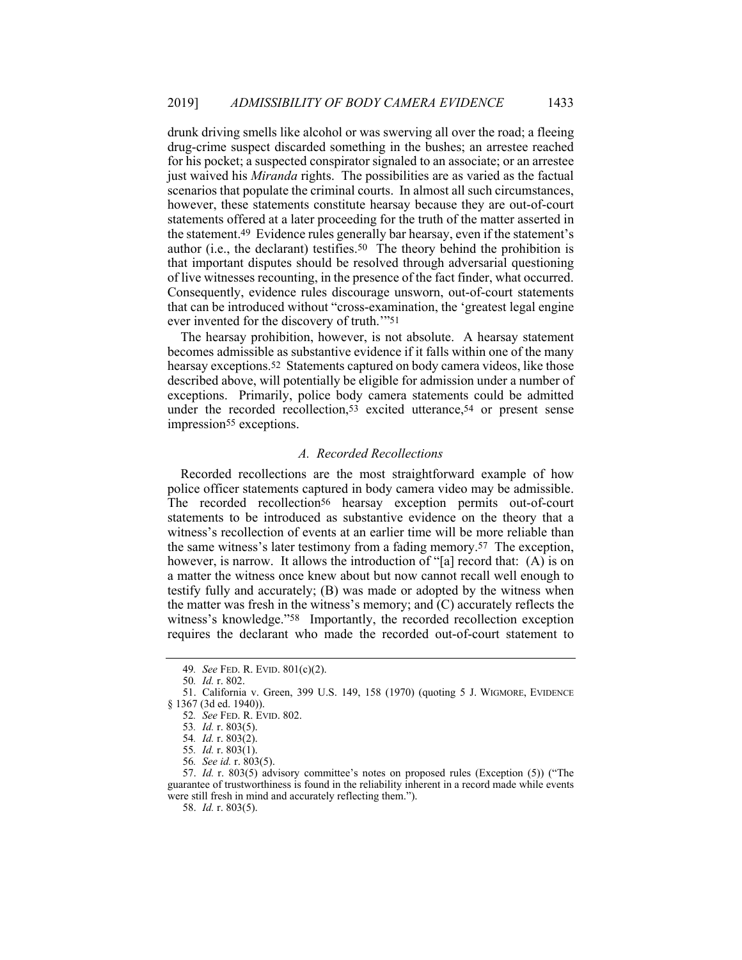drunk driving smells like alcohol or was swerving all over the road; a fleeing drug-crime suspect discarded something in the bushes; an arrestee reached for his pocket; a suspected conspirator signaled to an associate; or an arrestee just waived his *Miranda* rights. The possibilities are as varied as the factual scenarios that populate the criminal courts. In almost all such circumstances, however, these statements constitute hearsay because they are out-of-court statements offered at a later proceeding for the truth of the matter asserted in the statement.49 Evidence rules generally bar hearsay, even if the statement's author (i.e., the declarant) testifies.50 The theory behind the prohibition is that important disputes should be resolved through adversarial questioning of live witnesses recounting, in the presence of the fact finder, what occurred. Consequently, evidence rules discourage unsworn, out-of-court statements that can be introduced without "cross-examination, the 'greatest legal engine ever invented for the discovery of truth.'"51

The hearsay prohibition, however, is not absolute. A hearsay statement becomes admissible as substantive evidence if it falls within one of the many hearsay exceptions.52 Statements captured on body camera videos, like those described above, will potentially be eligible for admission under a number of exceptions. Primarily, police body camera statements could be admitted under the recorded recollection,<sup>53</sup> excited utterance,<sup>54</sup> or present sense impression<sup>55</sup> exceptions.

# *A. Recorded Recollections*

Recorded recollections are the most straightforward example of how police officer statements captured in body camera video may be admissible. The recorded recollection<sup>56</sup> hearsay exception permits out-of-court statements to be introduced as substantive evidence on the theory that a witness's recollection of events at an earlier time will be more reliable than the same witness's later testimony from a fading memory.57 The exception, however, is narrow. It allows the introduction of "[a] record that: (A) is on a matter the witness once knew about but now cannot recall well enough to testify fully and accurately; (B) was made or adopted by the witness when the matter was fresh in the witness's memory; and (C) accurately reflects the witness's knowledge."58 Importantly, the recorded recollection exception requires the declarant who made the recorded out-of-court statement to

<sup>49</sup>*. See* FED. R. EVID. 801(c)(2).

<sup>50</sup>*. Id.* r. 802.

 <sup>51.</sup> California v. Green, 399 U.S. 149, 158 (1970) (quoting 5 J. WIGMORE, EVIDENCE § 1367 (3d ed. 1940)).

<sup>52</sup>*. See* FED. R. EVID. 802.

<sup>53</sup>*. Id.* r. 803(5).

<sup>54</sup>*. Id.* r. 803(2).

<sup>55</sup>*. Id.* r. 803(1).

<sup>56</sup>*. See id.* r. 803(5).

 <sup>57.</sup> *Id.* r. 803(5) advisory committee's notes on proposed rules (Exception (5)) ("The guarantee of trustworthiness is found in the reliability inherent in a record made while events were still fresh in mind and accurately reflecting them.").

 <sup>58.</sup> *Id.* r. 803(5).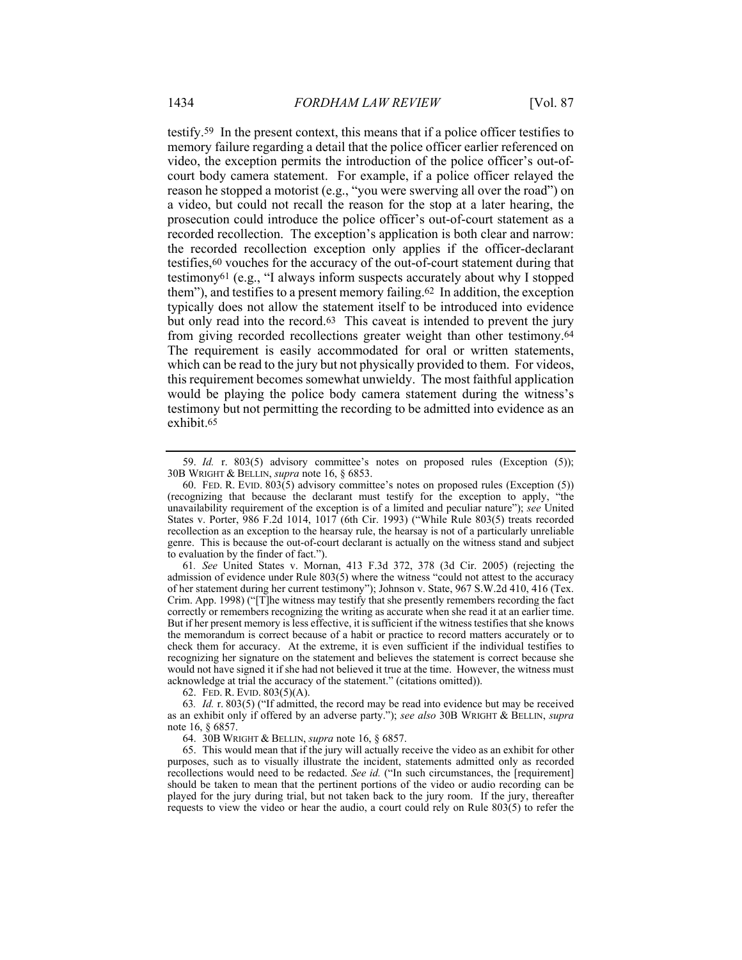testify.59 In the present context, this means that if a police officer testifies to memory failure regarding a detail that the police officer earlier referenced on video, the exception permits the introduction of the police officer's out-ofcourt body camera statement. For example, if a police officer relayed the reason he stopped a motorist (e.g., "you were swerving all over the road") on a video, but could not recall the reason for the stop at a later hearing, the prosecution could introduce the police officer's out-of-court statement as a recorded recollection. The exception's application is both clear and narrow: the recorded recollection exception only applies if the officer-declarant testifies,60 vouches for the accuracy of the out-of-court statement during that testimony61 (e.g., "I always inform suspects accurately about why I stopped them"), and testifies to a present memory failing.62 In addition, the exception typically does not allow the statement itself to be introduced into evidence but only read into the record.63 This caveat is intended to prevent the jury from giving recorded recollections greater weight than other testimony.64 The requirement is easily accommodated for oral or written statements, which can be read to the jury but not physically provided to them. For videos, this requirement becomes somewhat unwieldy. The most faithful application would be playing the police body camera statement during the witness's testimony but not permitting the recording to be admitted into evidence as an exhibit.65

61*. See* United States v. Mornan, 413 F.3d 372, 378 (3d Cir. 2005) (rejecting the admission of evidence under Rule 803(5) where the witness "could not attest to the accuracy of her statement during her current testimony"); Johnson v. State, 967 S.W.2d 410, 416 (Tex. Crim. App. 1998) ("[T]he witness may testify that she presently remembers recording the fact correctly or remembers recognizing the writing as accurate when she read it at an earlier time. But if her present memory is less effective, it is sufficient if the witness testifies that she knows the memorandum is correct because of a habit or practice to record matters accurately or to check them for accuracy. At the extreme, it is even sufficient if the individual testifies to recognizing her signature on the statement and believes the statement is correct because she would not have signed it if she had not believed it true at the time. However, the witness must acknowledge at trial the accuracy of the statement." (citations omitted)).

62. FED. R. EVID. 803(5)(A).

63*. Id.* r. 803(5) ("If admitted, the record may be read into evidence but may be received as an exhibit only if offered by an adverse party."); *see also* 30B WRIGHT & BELLIN, *supra* note 16, § 6857.

64. 30B WRIGHT & BELLIN, *supra* note 16, § 6857.

 65. This would mean that if the jury will actually receive the video as an exhibit for other purposes, such as to visually illustrate the incident, statements admitted only as recorded recollections would need to be redacted. *See id.* ("In such circumstances, the [requirement] should be taken to mean that the pertinent portions of the video or audio recording can be played for the jury during trial, but not taken back to the jury room. If the jury, thereafter requests to view the video or hear the audio, a court could rely on Rule 803(5) to refer the

 <sup>59.</sup> *Id.* r. 803(5) advisory committee's notes on proposed rules (Exception (5)); 30B WRIGHT & BELLIN, *supra* note 16, § 6853.

 <sup>60.</sup> FED. R. EVID. 803(5) advisory committee's notes on proposed rules (Exception (5)) (recognizing that because the declarant must testify for the exception to apply, "the unavailability requirement of the exception is of a limited and peculiar nature"); *see* United States v. Porter, 986 F.2d 1014, 1017 (6th Cir. 1993) ("While Rule 803(5) treats recorded recollection as an exception to the hearsay rule, the hearsay is not of a particularly unreliable genre. This is because the out-of-court declarant is actually on the witness stand and subject to evaluation by the finder of fact.").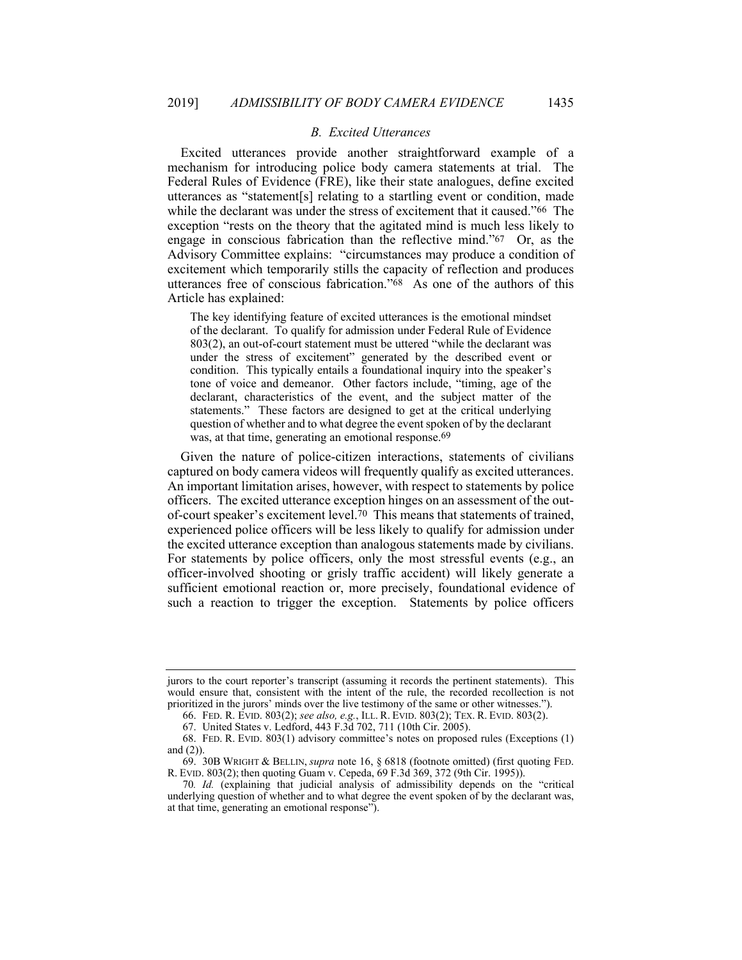### *B. Excited Utterances*

Excited utterances provide another straightforward example of a mechanism for introducing police body camera statements at trial. The Federal Rules of Evidence (FRE), like their state analogues, define excited utterances as "statement[s] relating to a startling event or condition, made while the declarant was under the stress of excitement that it caused."66 The exception "rests on the theory that the agitated mind is much less likely to engage in conscious fabrication than the reflective mind."67 Or, as the Advisory Committee explains: "circumstances may produce a condition of excitement which temporarily stills the capacity of reflection and produces utterances free of conscious fabrication."68 As one of the authors of this Article has explained:

The key identifying feature of excited utterances is the emotional mindset of the declarant. To qualify for admission under Federal Rule of Evidence 803(2), an out-of-court statement must be uttered "while the declarant was under the stress of excitement" generated by the described event or condition. This typically entails a foundational inquiry into the speaker's tone of voice and demeanor. Other factors include, "timing, age of the declarant, characteristics of the event, and the subject matter of the statements." These factors are designed to get at the critical underlying question of whether and to what degree the event spoken of by the declarant was, at that time, generating an emotional response.<sup>69</sup>

Given the nature of police-citizen interactions, statements of civilians captured on body camera videos will frequently qualify as excited utterances. An important limitation arises, however, with respect to statements by police officers. The excited utterance exception hinges on an assessment of the outof-court speaker's excitement level.70 This means that statements of trained, experienced police officers will be less likely to qualify for admission under the excited utterance exception than analogous statements made by civilians. For statements by police officers, only the most stressful events (e.g., an officer-involved shooting or grisly traffic accident) will likely generate a sufficient emotional reaction or, more precisely, foundational evidence of such a reaction to trigger the exception. Statements by police officers

jurors to the court reporter's transcript (assuming it records the pertinent statements). This would ensure that, consistent with the intent of the rule, the recorded recollection is not prioritized in the jurors' minds over the live testimony of the same or other witnesses.").

 <sup>66.</sup> FED. R. EVID. 803(2); *see also, e.g.*, ILL. R. EVID. 803(2); TEX. R. EVID. 803(2).

 <sup>67.</sup> United States v. Ledford, 443 F.3d 702, 711 (10th Cir. 2005).

 <sup>68.</sup> FED. R. EVID. 803(1) advisory committee's notes on proposed rules (Exceptions (1) and (2)).

 <sup>69. 30</sup>B WRIGHT & BELLIN, *supra* note 16, § 6818 (footnote omitted) (first quoting FED. R. EVID. 803(2); then quoting Guam v. Cepeda, 69 F.3d 369, 372 (9th Cir. 1995)).

<sup>70</sup>*. Id.* (explaining that judicial analysis of admissibility depends on the "critical underlying question of whether and to what degree the event spoken of by the declarant was, at that time, generating an emotional response").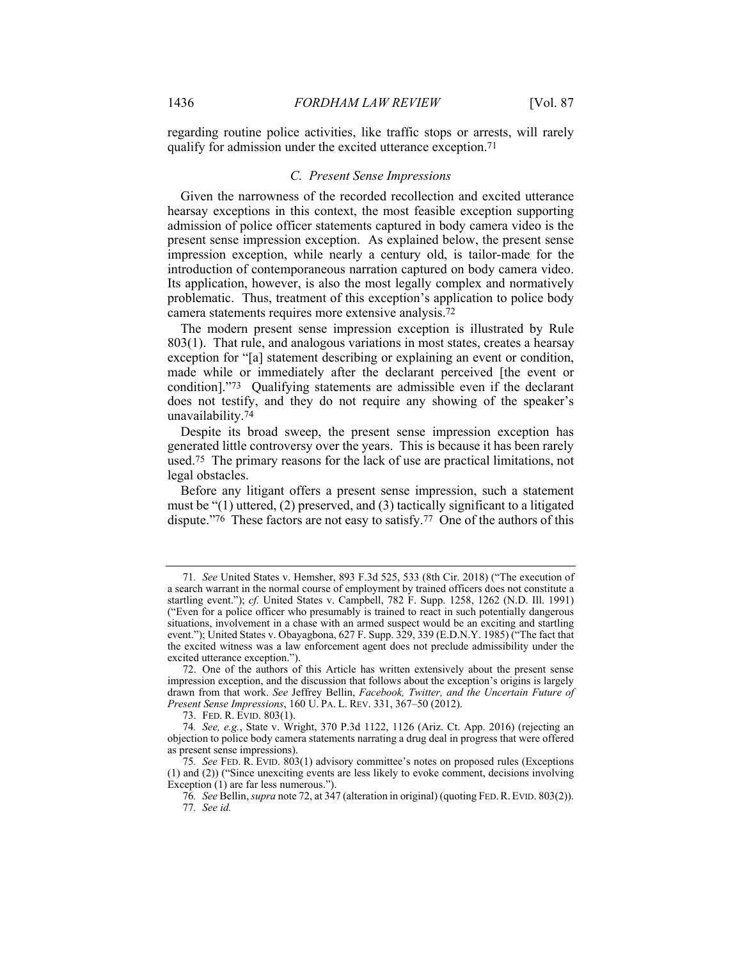regarding routine police activities, like traffic stops or arrests, will rarely qualify for admission under the excited utterance exception.71

#### *C. Present Sense Impressions*

Given the narrowness of the recorded recollection and excited utterance hearsay exceptions in this context, the most feasible exception supporting admission of police officer statements captured in body camera video is the present sense impression exception. As explained below, the present sense impression exception, while nearly a century old, is tailor-made for the introduction of contemporaneous narration captured on body camera video. Its application, however, is also the most legally complex and normatively problematic. Thus, treatment of this exception's application to police body camera statements requires more extensive analysis.72

The modern present sense impression exception is illustrated by Rule 803(1). That rule, and analogous variations in most states, creates a hearsay exception for "[a] statement describing or explaining an event or condition, made while or immediately after the declarant perceived [the event or condition]."73 Qualifying statements are admissible even if the declarant does not testify, and they do not require any showing of the speaker's unavailability.74

Despite its broad sweep, the present sense impression exception has generated little controversy over the years. This is because it has been rarely used.75 The primary reasons for the lack of use are practical limitations, not legal obstacles.

Before any litigant offers a present sense impression, such a statement must be "(1) uttered, (2) preserved, and (3) tactically significant to a litigated dispute."76 These factors are not easy to satisfy.77 One of the authors of this

<sup>71</sup>*. See* United States v. Hemsher, 893 F.3d 525, 533 (8th Cir. 2018) ("The execution of a search warrant in the normal course of employment by trained officers does not constitute a startling event."); *cf.* United States v. Campbell, 782 F. Supp. 1258, 1262 (N.D. Ill. 1991) ("Even for a police officer who presumably is trained to react in such potentially dangerous situations, involvement in a chase with an armed suspect would be an exciting and startling event."); United States v. Obayagbona, 627 F. Supp. 329, 339 (E.D.N.Y. 1985) ("The fact that the excited witness was a law enforcement agent does not preclude admissibility under the excited utterance exception.").

 <sup>72.</sup> One of the authors of this Article has written extensively about the present sense impression exception, and the discussion that follows about the exception's origins is largely drawn from that work. *See* Jeffrey Bellin, *Facebook, Twitter, and the Uncertain Future of Present Sense Impressions*, 160 U. PA. L. REV. 331, 367–50 (2012).

 <sup>73.</sup> FED. R. EVID. 803(1).

<sup>74</sup>*. See, e.g.*, State v. Wright, 370 P.3d 1122, 1126 (Ariz. Ct. App. 2016) (rejecting an objection to police body camera statements narrating a drug deal in progress that were offered as present sense impressions).

<sup>75</sup>*. See* FED. R. EVID. 803(1) advisory committee's notes on proposed rules (Exceptions (1) and (2)) ("Since unexciting events are less likely to evoke comment, decisions involving Exception (1) are far less numerous.").

<sup>76</sup>*. See* Bellin, *supra* note 72, at 347 (alteration in original) (quoting FED.R.EVID. 803(2)). 77*. See id.*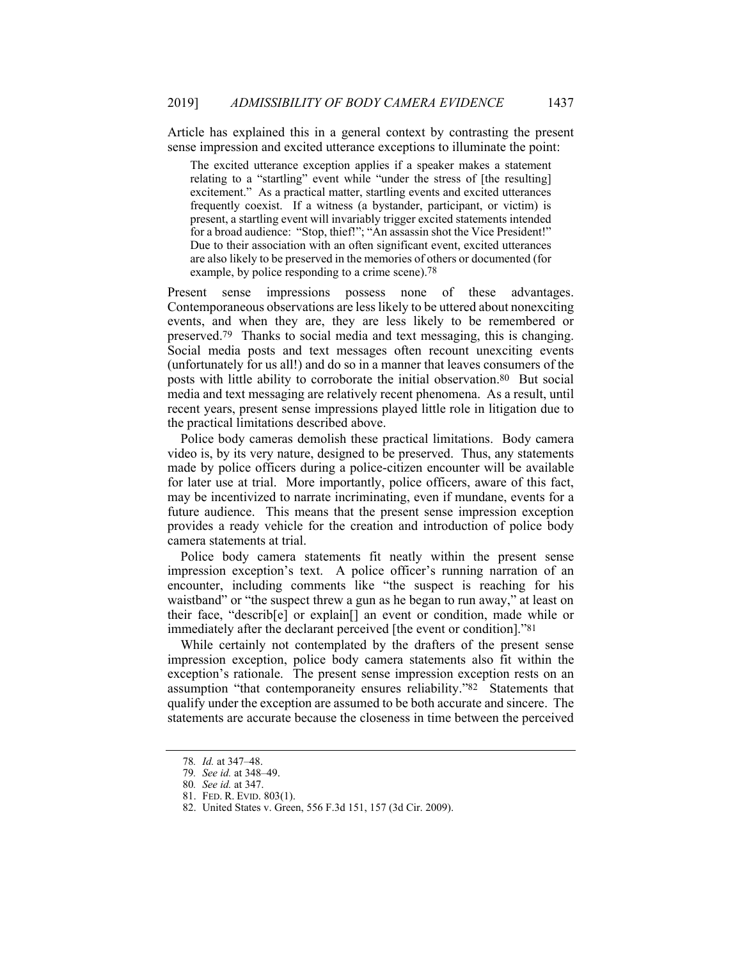Article has explained this in a general context by contrasting the present sense impression and excited utterance exceptions to illuminate the point:

The excited utterance exception applies if a speaker makes a statement relating to a "startling" event while "under the stress of [the resulting] excitement." As a practical matter, startling events and excited utterances frequently coexist. If a witness (a bystander, participant, or victim) is present, a startling event will invariably trigger excited statements intended for a broad audience: "Stop, thief!"; "An assassin shot the Vice President!" Due to their association with an often significant event, excited utterances are also likely to be preserved in the memories of others or documented (for example, by police responding to a crime scene).<sup>78</sup>

Present sense impressions possess none of these advantages. Contemporaneous observations are less likely to be uttered about nonexciting events, and when they are, they are less likely to be remembered or preserved.79 Thanks to social media and text messaging, this is changing. Social media posts and text messages often recount unexciting events (unfortunately for us all!) and do so in a manner that leaves consumers of the posts with little ability to corroborate the initial observation.80 But social media and text messaging are relatively recent phenomena. As a result, until recent years, present sense impressions played little role in litigation due to the practical limitations described above.

Police body cameras demolish these practical limitations. Body camera video is, by its very nature, designed to be preserved. Thus, any statements made by police officers during a police-citizen encounter will be available for later use at trial. More importantly, police officers, aware of this fact, may be incentivized to narrate incriminating, even if mundane, events for a future audience. This means that the present sense impression exception provides a ready vehicle for the creation and introduction of police body camera statements at trial.

Police body camera statements fit neatly within the present sense impression exception's text. A police officer's running narration of an encounter, including comments like "the suspect is reaching for his waistband" or "the suspect threw a gun as he began to run away," at least on their face, "describ[e] or explain[] an event or condition, made while or immediately after the declarant perceived [the event or condition]."81

While certainly not contemplated by the drafters of the present sense impression exception, police body camera statements also fit within the exception's rationale. The present sense impression exception rests on an assumption "that contemporaneity ensures reliability."82 Statements that qualify under the exception are assumed to be both accurate and sincere. The statements are accurate because the closeness in time between the perceived

<sup>78</sup>*. Id.* at 347–48.

<sup>79</sup>*. See id.* at 348–49.

<sup>80</sup>*. See id.* at 347.

 <sup>81.</sup> FED. R. EVID. 803(1).

 <sup>82.</sup> United States v. Green, 556 F.3d 151, 157 (3d Cir. 2009).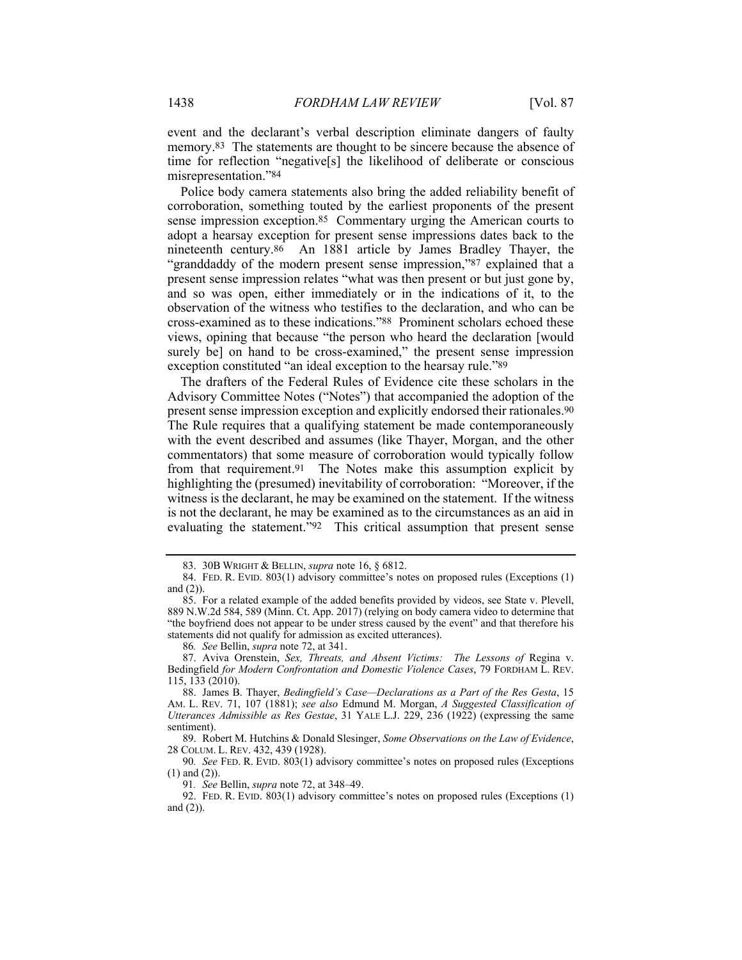event and the declarant's verbal description eliminate dangers of faulty memory.83 The statements are thought to be sincere because the absence of time for reflection "negative[s] the likelihood of deliberate or conscious misrepresentation."84

Police body camera statements also bring the added reliability benefit of corroboration, something touted by the earliest proponents of the present sense impression exception.85 Commentary urging the American courts to adopt a hearsay exception for present sense impressions dates back to the nineteenth century.86 An 1881 article by James Bradley Thayer, the "granddaddy of the modern present sense impression,"87 explained that a present sense impression relates "what was then present or but just gone by, and so was open, either immediately or in the indications of it, to the observation of the witness who testifies to the declaration, and who can be cross-examined as to these indications."88 Prominent scholars echoed these views, opining that because "the person who heard the declaration [would surely be] on hand to be cross-examined," the present sense impression exception constituted "an ideal exception to the hearsay rule."89

The drafters of the Federal Rules of Evidence cite these scholars in the Advisory Committee Notes ("Notes") that accompanied the adoption of the present sense impression exception and explicitly endorsed their rationales.90 The Rule requires that a qualifying statement be made contemporaneously with the event described and assumes (like Thayer, Morgan, and the other commentators) that some measure of corroboration would typically follow from that requirement.91 The Notes make this assumption explicit by highlighting the (presumed) inevitability of corroboration: "Moreover, if the witness is the declarant, he may be examined on the statement. If the witness is not the declarant, he may be examined as to the circumstances as an aid in evaluating the statement."92 This critical assumption that present sense

 87. Aviva Orenstein, *Sex, Threats, and Absent Victims: The Lessons of* Regina v. Bedingfield *for Modern Confrontation and Domestic Violence Cases*, 79 FORDHAM L. REV. 115, 133 (2010).

91*. See* Bellin, *supra* note 72, at 348–49.

 <sup>83. 30</sup>B WRIGHT & BELLIN, *supra* note 16, § 6812.

 <sup>84.</sup> FED. R. EVID. 803(1) advisory committee's notes on proposed rules (Exceptions (1) and (2)).

 <sup>85.</sup> For a related example of the added benefits provided by videos, see State v. Plevell, 889 N.W.2d 584, 589 (Minn. Ct. App. 2017) (relying on body camera video to determine that "the boyfriend does not appear to be under stress caused by the event" and that therefore his statements did not qualify for admission as excited utterances).

<sup>86</sup>*. See* Bellin, *supra* note 72, at 341.

 <sup>88.</sup> James B. Thayer, *Bedingfield's Case—Declarations as a Part of the Res Gesta*, 15 AM. L. REV. 71, 107 (1881); *see also* Edmund M. Morgan, *A Suggested Classification of Utterances Admissible as Res Gestae*, 31 YALE L.J. 229, 236 (1922) (expressing the same sentiment).

 <sup>89.</sup> Robert M. Hutchins & Donald Slesinger, *Some Observations on the Law of Evidence*, 28 COLUM. L. REV. 432, 439 (1928).

<sup>90</sup>*. See* FED. R. EVID. 803(1) advisory committee's notes on proposed rules (Exceptions (1) and (2)).

 <sup>92.</sup> FED. R. EVID. 803(1) advisory committee's notes on proposed rules (Exceptions (1) and (2)).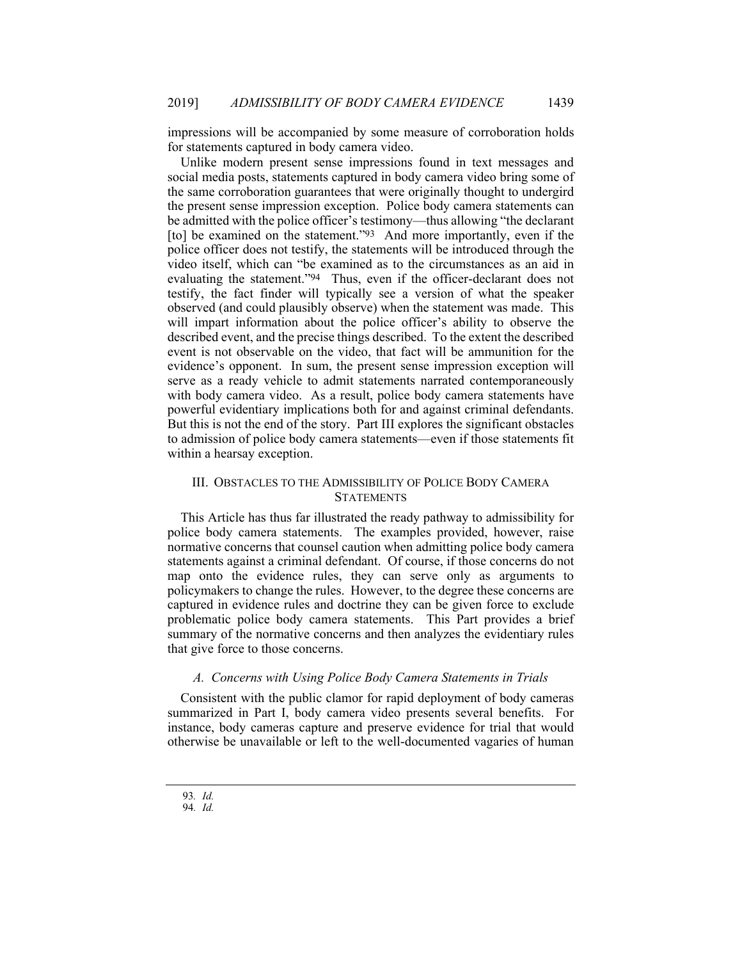impressions will be accompanied by some measure of corroboration holds for statements captured in body camera video.

Unlike modern present sense impressions found in text messages and social media posts, statements captured in body camera video bring some of the same corroboration guarantees that were originally thought to undergird the present sense impression exception. Police body camera statements can be admitted with the police officer's testimony—thus allowing "the declarant [to] be examined on the statement."<sup>93</sup> And more importantly, even if the police officer does not testify, the statements will be introduced through the video itself, which can "be examined as to the circumstances as an aid in evaluating the statement."94 Thus, even if the officer-declarant does not testify, the fact finder will typically see a version of what the speaker observed (and could plausibly observe) when the statement was made. This will impart information about the police officer's ability to observe the described event, and the precise things described. To the extent the described event is not observable on the video, that fact will be ammunition for the evidence's opponent. In sum, the present sense impression exception will serve as a ready vehicle to admit statements narrated contemporaneously with body camera video. As a result, police body camera statements have powerful evidentiary implications both for and against criminal defendants. But this is not the end of the story. Part III explores the significant obstacles to admission of police body camera statements—even if those statements fit within a hearsay exception.

# III. OBSTACLES TO THE ADMISSIBILITY OF POLICE BODY CAMERA **STATEMENTS**

This Article has thus far illustrated the ready pathway to admissibility for police body camera statements. The examples provided, however, raise normative concerns that counsel caution when admitting police body camera statements against a criminal defendant. Of course, if those concerns do not map onto the evidence rules, they can serve only as arguments to policymakers to change the rules. However, to the degree these concerns are captured in evidence rules and doctrine they can be given force to exclude problematic police body camera statements. This Part provides a brief summary of the normative concerns and then analyzes the evidentiary rules that give force to those concerns.

### *A. Concerns with Using Police Body Camera Statements in Trials*

Consistent with the public clamor for rapid deployment of body cameras summarized in Part I, body camera video presents several benefits. For instance, body cameras capture and preserve evidence for trial that would otherwise be unavailable or left to the well-documented vagaries of human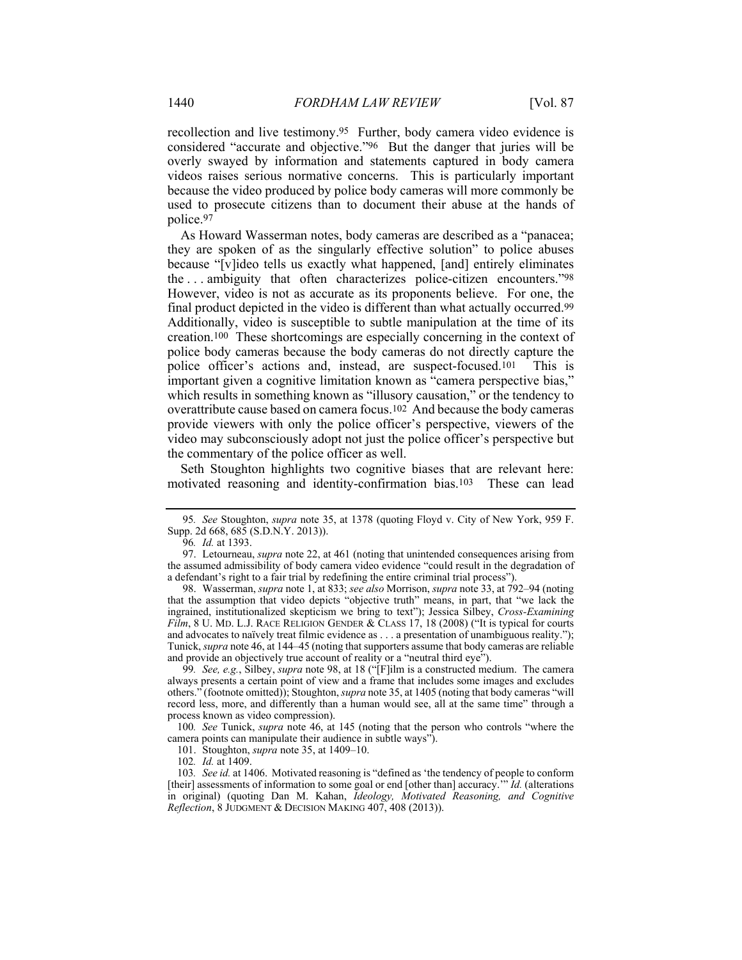recollection and live testimony.95 Further, body camera video evidence is considered "accurate and objective."96 But the danger that juries will be overly swayed by information and statements captured in body camera videos raises serious normative concerns. This is particularly important because the video produced by police body cameras will more commonly be used to prosecute citizens than to document their abuse at the hands of police.97

As Howard Wasserman notes, body cameras are described as a "panacea; they are spoken of as the singularly effective solution" to police abuses because "[v]ideo tells us exactly what happened, [and] entirely eliminates the . . . ambiguity that often characterizes police-citizen encounters."98 However, video is not as accurate as its proponents believe. For one, the final product depicted in the video is different than what actually occurred.99 Additionally, video is susceptible to subtle manipulation at the time of its creation.100 These shortcomings are especially concerning in the context of police body cameras because the body cameras do not directly capture the police officer's actions and, instead, are suspect-focused.101 This is important given a cognitive limitation known as "camera perspective bias," which results in something known as "illusory causation," or the tendency to overattribute cause based on camera focus.102 And because the body cameras provide viewers with only the police officer's perspective, viewers of the video may subconsciously adopt not just the police officer's perspective but the commentary of the police officer as well.

Seth Stoughton highlights two cognitive biases that are relevant here: motivated reasoning and identity-confirmation bias.103 These can lead

100*. See* Tunick, *supra* note 46, at 145 (noting that the person who controls "where the camera points can manipulate their audience in subtle ways").

<sup>95</sup>*. See* Stoughton, *supra* note 35, at 1378 (quoting Floyd v. City of New York, 959 F. Supp. 2d 668, 685 (S.D.N.Y. 2013)).

<sup>96</sup>*. Id.* at 1393.

 <sup>97.</sup> Letourneau, *supra* note 22, at 461 (noting that unintended consequences arising from the assumed admissibility of body camera video evidence "could result in the degradation of a defendant's right to a fair trial by redefining the entire criminal trial process").

 <sup>98.</sup> Wasserman, *supra* note 1, at 833; *see also* Morrison, *supra* note 33, at 792–94 (noting that the assumption that video depicts "objective truth" means, in part, that "we lack the ingrained, institutionalized skepticism we bring to text"); Jessica Silbey, *Cross-Examining Film*, 8 U. MD. L.J. RACE RELIGION GENDER & CLASS 17, 18 (2008) ("It is typical for courts and advocates to naïvely treat filmic evidence as . . . a presentation of unambiguous reality."); Tunick, *supra* note 46, at 144–45 (noting that supporters assume that body cameras are reliable and provide an objectively true account of reality or a "neutral third eye").

<sup>99</sup>*. See, e.g.*, Silbey, *supra* note 98, at 18 ("[F]ilm is a constructed medium. The camera always presents a certain point of view and a frame that includes some images and excludes others." (footnote omitted)); Stoughton, *supra* note 35, at 1405 (noting that body cameras "will record less, more, and differently than a human would see, all at the same time" through a process known as video compression).

 <sup>101.</sup> Stoughton, *supra* note 35, at 1409–10.

<sup>102</sup>*. Id.* at 1409.

<sup>103</sup>*. See id.* at 1406. Motivated reasoning is "defined as 'the tendency of people to conform [their] assessments of information to some goal or end [other than] accuracy.'" *Id.* (alterations in original) (quoting Dan M. Kahan, *Ideology, Motivated Reasoning, and Cognitive Reflection*, 8 JUDGMENT & DECISION MAKING 407, 408 (2013)).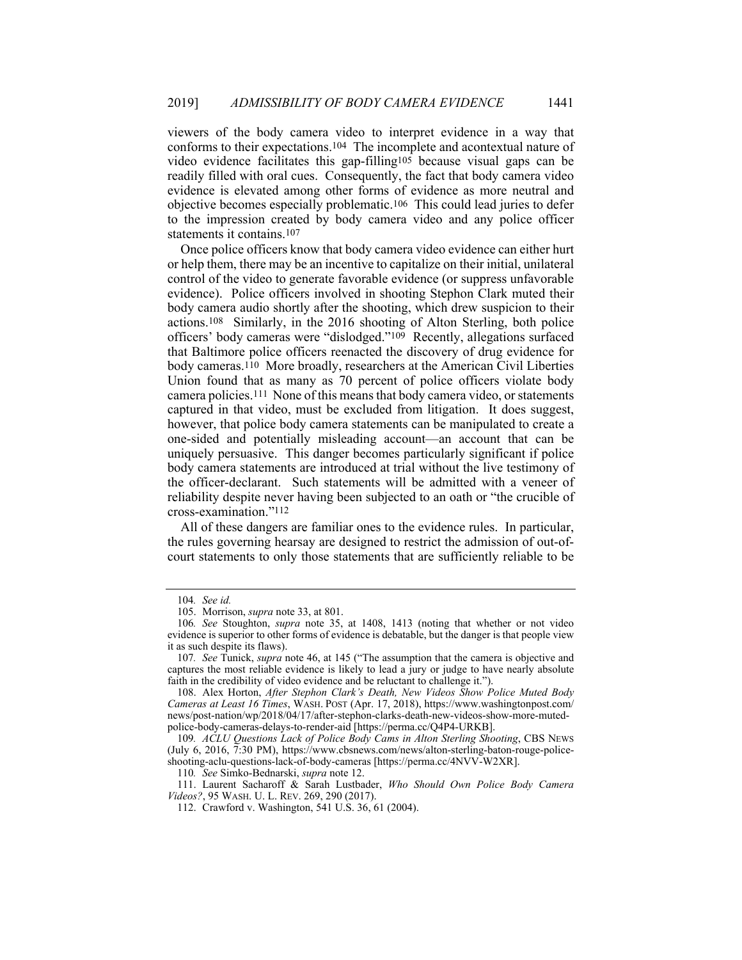viewers of the body camera video to interpret evidence in a way that conforms to their expectations.104 The incomplete and acontextual nature of video evidence facilitates this gap-filling105 because visual gaps can be readily filled with oral cues. Consequently, the fact that body camera video evidence is elevated among other forms of evidence as more neutral and objective becomes especially problematic.106 This could lead juries to defer to the impression created by body camera video and any police officer statements it contains.107

Once police officers know that body camera video evidence can either hurt or help them, there may be an incentive to capitalize on their initial, unilateral control of the video to generate favorable evidence (or suppress unfavorable evidence). Police officers involved in shooting Stephon Clark muted their body camera audio shortly after the shooting, which drew suspicion to their actions.108 Similarly, in the 2016 shooting of Alton Sterling, both police officers' body cameras were "dislodged."109 Recently, allegations surfaced that Baltimore police officers reenacted the discovery of drug evidence for body cameras.110 More broadly, researchers at the American Civil Liberties Union found that as many as 70 percent of police officers violate body camera policies.111 None of this means that body camera video, or statements captured in that video, must be excluded from litigation. It does suggest, however, that police body camera statements can be manipulated to create a one-sided and potentially misleading account—an account that can be uniquely persuasive. This danger becomes particularly significant if police body camera statements are introduced at trial without the live testimony of the officer-declarant. Such statements will be admitted with a veneer of reliability despite never having been subjected to an oath or "the crucible of cross-examination."112

All of these dangers are familiar ones to the evidence rules. In particular, the rules governing hearsay are designed to restrict the admission of out-ofcourt statements to only those statements that are sufficiently reliable to be

110*. See* Simko-Bednarski, *supra* note 12.

 111. Laurent Sacharoff & Sarah Lustbader, *Who Should Own Police Body Camera Videos?*, 95 WASH. U. L. REV. 269, 290 (2017).

<sup>104</sup>*. See id.*

 <sup>105.</sup> Morrison, *supra* note 33, at 801.

<sup>106</sup>*. See* Stoughton, *supra* note 35, at 1408, 1413 (noting that whether or not video evidence is superior to other forms of evidence is debatable, but the danger is that people view it as such despite its flaws).

<sup>107</sup>*. See* Tunick, *supra* note 46, at 145 ("The assumption that the camera is objective and captures the most reliable evidence is likely to lead a jury or judge to have nearly absolute faith in the credibility of video evidence and be reluctant to challenge it.").

 <sup>108.</sup> Alex Horton, *After Stephon Clark's Death, New Videos Show Police Muted Body Cameras at Least 16 Times*, WASH. POST (Apr. 17, 2018), https://www.washingtonpost.com/ news/post-nation/wp/2018/04/17/after-stephon-clarks-death-new-videos-show-more-mutedpolice-body-cameras-delays-to-render-aid [https://perma.cc/Q4P4-URKB].

<sup>109</sup>*. ACLU Questions Lack of Police Body Cams in Alton Sterling Shooting*, CBS NEWS (July 6, 2016, 7:30 PM), https://www.cbsnews.com/news/alton-sterling-baton-rouge-policeshooting-aclu-questions-lack-of-body-cameras [https://perma.cc/4NVV-W2XR].

 <sup>112.</sup> Crawford v. Washington, 541 U.S. 36, 61 (2004).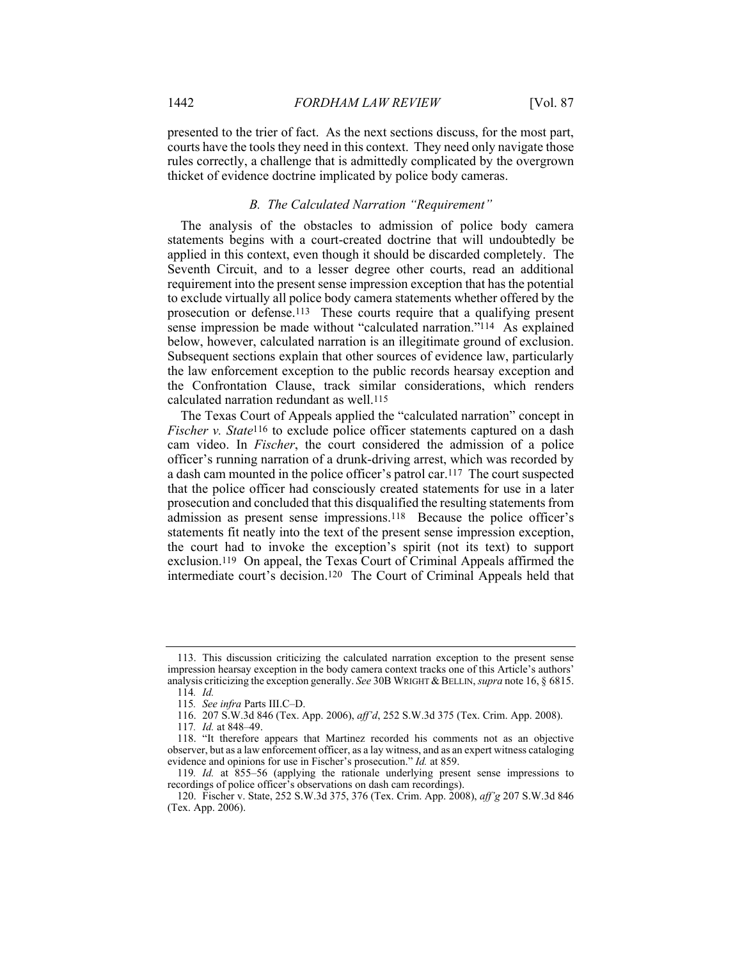presented to the trier of fact. As the next sections discuss, for the most part, courts have the tools they need in this context. They need only navigate those rules correctly, a challenge that is admittedly complicated by the overgrown thicket of evidence doctrine implicated by police body cameras.

#### *B. The Calculated Narration "Requirement"*

The analysis of the obstacles to admission of police body camera statements begins with a court-created doctrine that will undoubtedly be applied in this context, even though it should be discarded completely. The Seventh Circuit, and to a lesser degree other courts, read an additional requirement into the present sense impression exception that has the potential to exclude virtually all police body camera statements whether offered by the prosecution or defense.113 These courts require that a qualifying present sense impression be made without "calculated narration."114 As explained below, however, calculated narration is an illegitimate ground of exclusion. Subsequent sections explain that other sources of evidence law, particularly the law enforcement exception to the public records hearsay exception and the Confrontation Clause, track similar considerations, which renders calculated narration redundant as well.115

The Texas Court of Appeals applied the "calculated narration" concept in *Fischer v. State*<sup>116</sup> to exclude police officer statements captured on a dash cam video. In *Fischer*, the court considered the admission of a police officer's running narration of a drunk-driving arrest, which was recorded by a dash cam mounted in the police officer's patrol car.117 The court suspected that the police officer had consciously created statements for use in a later prosecution and concluded that this disqualified the resulting statements from admission as present sense impressions.118 Because the police officer's statements fit neatly into the text of the present sense impression exception, the court had to invoke the exception's spirit (not its text) to support exclusion.119 On appeal, the Texas Court of Criminal Appeals affirmed the intermediate court's decision.120 The Court of Criminal Appeals held that

 <sup>113.</sup> This discussion criticizing the calculated narration exception to the present sense impression hearsay exception in the body camera context tracks one of this Article's authors' analysis criticizing the exception generally. *See* 30B WRIGHT & BELLIN, *supra* note 16, § 6815. 114*. Id.*

<sup>115</sup>*. See infra* Parts III.C–D.

 <sup>116. 207</sup> S.W.3d 846 (Tex. App. 2006), *aff'd*, 252 S.W.3d 375 (Tex. Crim. App. 2008).

<sup>117</sup>*. Id.* at 848–49.

 <sup>118. &</sup>quot;It therefore appears that Martinez recorded his comments not as an objective observer, but as a law enforcement officer, as a lay witness, and as an expert witness cataloging evidence and opinions for use in Fischer's prosecution." *Id.* at 859.

<sup>119</sup>*. Id.* at 855–56 (applying the rationale underlying present sense impressions to recordings of police officer's observations on dash cam recordings).

 <sup>120.</sup> Fischer v. State, 252 S.W.3d 375, 376 (Tex. Crim. App. 2008), *aff'g* 207 S.W.3d 846 (Tex. App. 2006).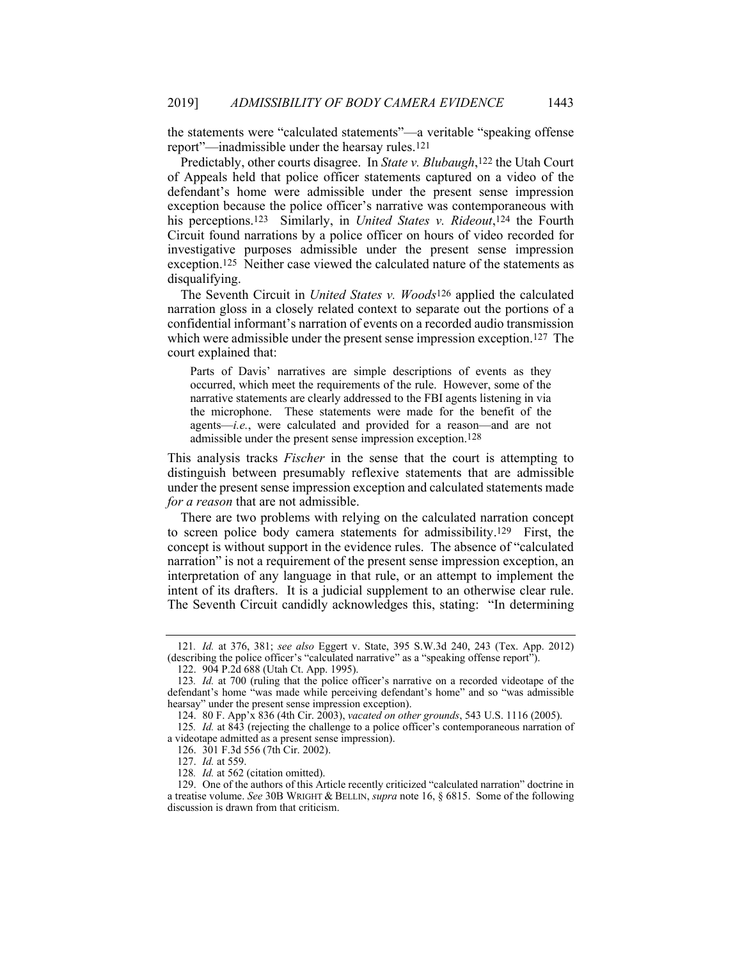the statements were "calculated statements"—a veritable "speaking offense report"—inadmissible under the hearsay rules.121

Predictably, other courts disagree. In *State v. Blubaugh*,122 the Utah Court of Appeals held that police officer statements captured on a video of the defendant's home were admissible under the present sense impression exception because the police officer's narrative was contemporaneous with his perceptions.123 Similarly, in *United States v. Rideout*,124 the Fourth Circuit found narrations by a police officer on hours of video recorded for investigative purposes admissible under the present sense impression exception.125 Neither case viewed the calculated nature of the statements as disqualifying.

The Seventh Circuit in *United States v. Woods*126 applied the calculated narration gloss in a closely related context to separate out the portions of a confidential informant's narration of events on a recorded audio transmission which were admissible under the present sense impression exception.<sup>127</sup> The court explained that:

Parts of Davis' narratives are simple descriptions of events as they occurred, which meet the requirements of the rule. However, some of the narrative statements are clearly addressed to the FBI agents listening in via the microphone. These statements were made for the benefit of the agents—*i.e.*, were calculated and provided for a reason—and are not admissible under the present sense impression exception.128

This analysis tracks *Fischer* in the sense that the court is attempting to distinguish between presumably reflexive statements that are admissible under the present sense impression exception and calculated statements made *for a reason* that are not admissible.

There are two problems with relying on the calculated narration concept to screen police body camera statements for admissibility.129 First, the concept is without support in the evidence rules. The absence of "calculated narration" is not a requirement of the present sense impression exception, an interpretation of any language in that rule, or an attempt to implement the intent of its drafters. It is a judicial supplement to an otherwise clear rule. The Seventh Circuit candidly acknowledges this, stating: "In determining

<sup>121</sup>*. Id.* at 376, 381; *see also* Eggert v. State, 395 S.W.3d 240, 243 (Tex. App. 2012) (describing the police officer's "calculated narrative" as a "speaking offense report").

 <sup>122. 904</sup> P.2d 688 (Utah Ct. App. 1995).

<sup>123</sup>*. Id.* at 700 (ruling that the police officer's narrative on a recorded videotape of the defendant's home "was made while perceiving defendant's home" and so "was admissible hearsay" under the present sense impression exception).

 <sup>124. 80</sup> F. App'x 836 (4th Cir. 2003), *vacated on other grounds*, 543 U.S. 1116 (2005).

<sup>125</sup>*. Id.* at 843 (rejecting the challenge to a police officer's contemporaneous narration of a videotape admitted as a present sense impression).

 <sup>126. 301</sup> F.3d 556 (7th Cir. 2002).

 <sup>127.</sup> *Id.* at 559.

<sup>128</sup>*. Id.* at 562 (citation omitted).

 <sup>129.</sup> One of the authors of this Article recently criticized "calculated narration" doctrine in a treatise volume. *See* 30B WRIGHT & BELLIN, *supra* note 16, § 6815. Some of the following discussion is drawn from that criticism.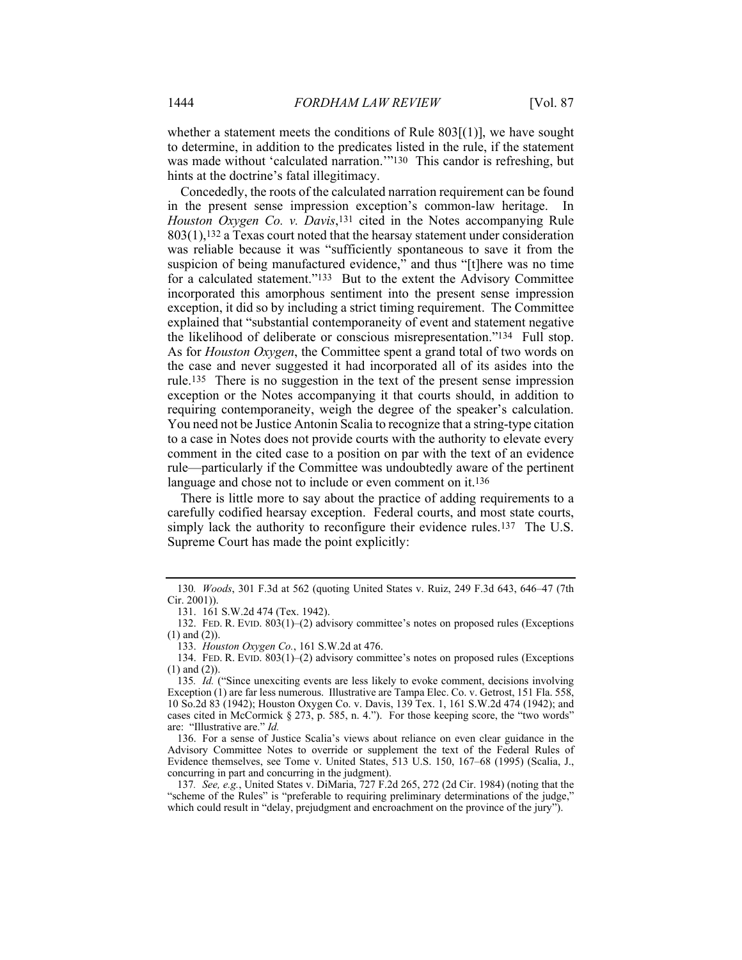whether a statement meets the conditions of Rule  $803[(1)]$ , we have sought to determine, in addition to the predicates listed in the rule, if the statement was made without 'calculated narration.'"<sup>130</sup> This candor is refreshing, but hints at the doctrine's fatal illegitimacy.

Concededly, the roots of the calculated narration requirement can be found in the present sense impression exception's common-law heritage. In *Houston Oxygen Co. v. Davis*,131 cited in the Notes accompanying Rule 803(1),132 a Texas court noted that the hearsay statement under consideration was reliable because it was "sufficiently spontaneous to save it from the suspicion of being manufactured evidence, $\hat{r}$  and thus "[t]here was no time for a calculated statement."133 But to the extent the Advisory Committee incorporated this amorphous sentiment into the present sense impression exception, it did so by including a strict timing requirement. The Committee explained that "substantial contemporaneity of event and statement negative the likelihood of deliberate or conscious misrepresentation."134 Full stop. As for *Houston Oxygen*, the Committee spent a grand total of two words on the case and never suggested it had incorporated all of its asides into the rule.135 There is no suggestion in the text of the present sense impression exception or the Notes accompanying it that courts should, in addition to requiring contemporaneity, weigh the degree of the speaker's calculation. You need not be Justice Antonin Scalia to recognize that a string-type citation to a case in Notes does not provide courts with the authority to elevate every comment in the cited case to a position on par with the text of an evidence rule—particularly if the Committee was undoubtedly aware of the pertinent language and chose not to include or even comment on it.<sup>136</sup>

There is little more to say about the practice of adding requirements to a carefully codified hearsay exception. Federal courts, and most state courts, simply lack the authority to reconfigure their evidence rules.<sup>137</sup> The U.S. Supreme Court has made the point explicitly:

<sup>130</sup>*. Woods*, 301 F.3d at 562 (quoting United States v. Ruiz, 249 F.3d 643, 646–47 (7th Cir. 2001)).

 <sup>131. 161</sup> S.W.2d 474 (Tex. 1942).

 <sup>132.</sup> FED. R. EVID. 803(1)–(2) advisory committee's notes on proposed rules (Exceptions (1) and (2)).

 <sup>133.</sup> *Houston Oxygen Co.*, 161 S.W.2d at 476.

 <sup>134.</sup> FED. R. EVID. 803(1)–(2) advisory committee's notes on proposed rules (Exceptions (1) and (2)).

<sup>135</sup>*. Id.* ("Since unexciting events are less likely to evoke comment, decisions involving Exception (1) are far less numerous. Illustrative are Tampa Elec. Co. v. Getrost, 151 Fla. 558, 10 So.2d 83 (1942); Houston Oxygen Co. v. Davis, 139 Tex. 1, 161 S.W.2d 474 (1942); and cases cited in McCormick § 273, p. 585, n. 4."). For those keeping score, the "two words" are: "Illustrative are." *Id.*

 <sup>136.</sup> For a sense of Justice Scalia's views about reliance on even clear guidance in the Advisory Committee Notes to override or supplement the text of the Federal Rules of Evidence themselves, see Tome v. United States, 513 U.S. 150, 167–68 (1995) (Scalia, J., concurring in part and concurring in the judgment).

<sup>137</sup>*. See, e.g.*, United States v. DiMaria, 727 F.2d 265, 272 (2d Cir. 1984) (noting that the "scheme of the Rules" is "preferable to requiring preliminary determinations of the judge," which could result in "delay, prejudgment and encroachment on the province of the jury").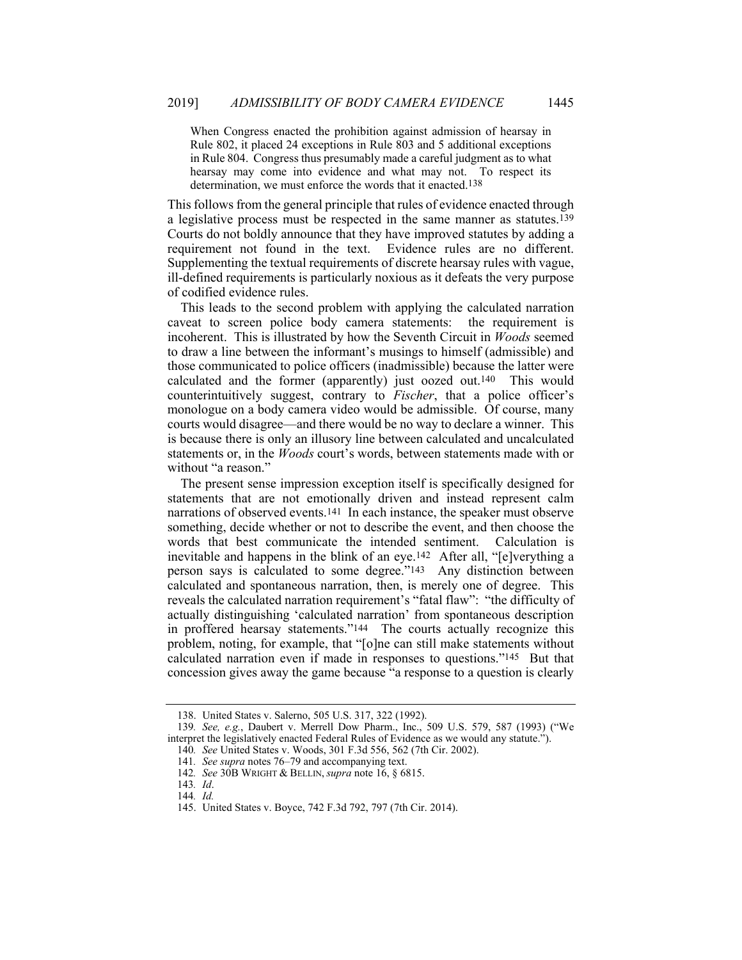When Congress enacted the prohibition against admission of hearsay in Rule 802, it placed 24 exceptions in Rule 803 and 5 additional exceptions in Rule 804. Congress thus presumably made a careful judgment as to what hearsay may come into evidence and what may not. To respect its determination, we must enforce the words that it enacted.<sup>138</sup>

This follows from the general principle that rules of evidence enacted through a legislative process must be respected in the same manner as statutes.139 Courts do not boldly announce that they have improved statutes by adding a requirement not found in the text. Evidence rules are no different. Supplementing the textual requirements of discrete hearsay rules with vague, ill-defined requirements is particularly noxious as it defeats the very purpose of codified evidence rules.

This leads to the second problem with applying the calculated narration caveat to screen police body camera statements: the requirement is incoherent. This is illustrated by how the Seventh Circuit in *Woods* seemed to draw a line between the informant's musings to himself (admissible) and those communicated to police officers (inadmissible) because the latter were calculated and the former (apparently) just oozed out.140 This would counterintuitively suggest, contrary to *Fischer*, that a police officer's monologue on a body camera video would be admissible. Of course, many courts would disagree—and there would be no way to declare a winner. This is because there is only an illusory line between calculated and uncalculated statements or, in the *Woods* court's words, between statements made with or without "a reason."

The present sense impression exception itself is specifically designed for statements that are not emotionally driven and instead represent calm narrations of observed events.141 In each instance, the speaker must observe something, decide whether or not to describe the event, and then choose the words that best communicate the intended sentiment. Calculation is inevitable and happens in the blink of an eye.142 After all, "[e]verything a person says is calculated to some degree."143 Any distinction between calculated and spontaneous narration, then, is merely one of degree. This reveals the calculated narration requirement's "fatal flaw": "the difficulty of actually distinguishing 'calculated narration' from spontaneous description in proffered hearsay statements."144 The courts actually recognize this problem, noting, for example, that "[o]ne can still make statements without calculated narration even if made in responses to questions."145 But that concession gives away the game because "a response to a question is clearly

 <sup>138.</sup> United States v. Salerno, 505 U.S. 317, 322 (1992).

<sup>139</sup>*. See, e.g.*, Daubert v. Merrell Dow Pharm., Inc., 509 U.S. 579, 587 (1993) ("We interpret the legislatively enacted Federal Rules of Evidence as we would any statute."). 140*. See* United States v. Woods, 301 F.3d 556, 562 (7th Cir. 2002).

<sup>141</sup>*. See supra* notes 76–79 and accompanying text.

<sup>142</sup>*. See* 30B WRIGHT & BELLIN, *supra* note 16, § 6815.

<sup>143</sup>*. Id*. 144*. Id.*

 <sup>145.</sup> United States v. Boyce, 742 F.3d 792, 797 (7th Cir. 2014).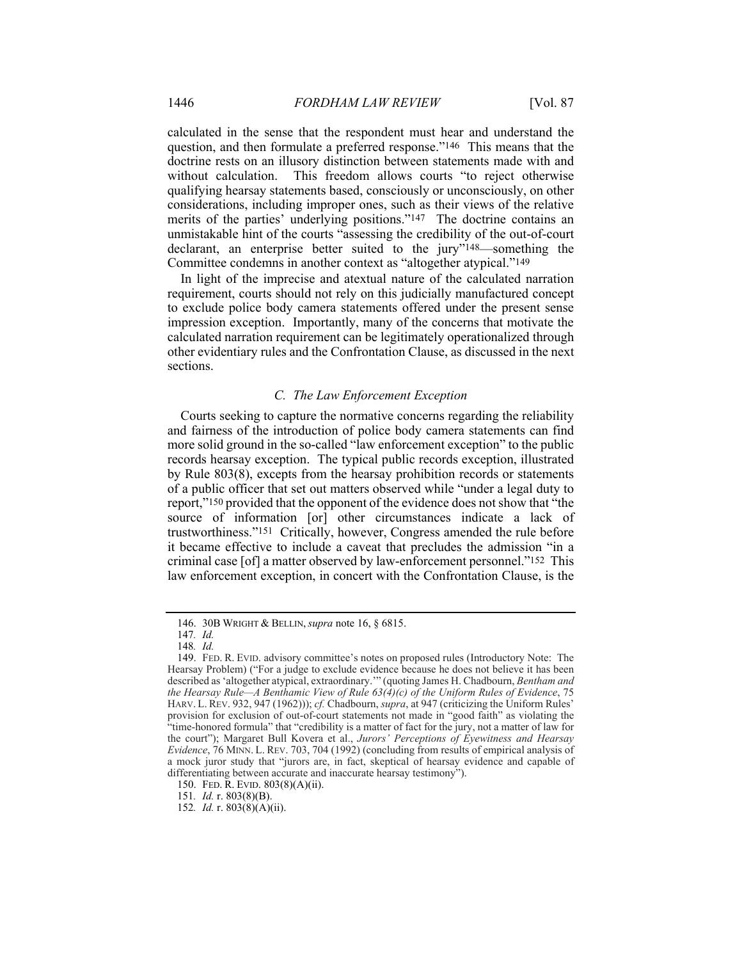calculated in the sense that the respondent must hear and understand the question, and then formulate a preferred response."146 This means that the doctrine rests on an illusory distinction between statements made with and without calculation. This freedom allows courts "to reject otherwise qualifying hearsay statements based, consciously or unconsciously, on other considerations, including improper ones, such as their views of the relative merits of the parties' underlying positions."147 The doctrine contains an unmistakable hint of the courts "assessing the credibility of the out-of-court declarant, an enterprise better suited to the jury"148—something the Committee condemns in another context as "altogether atypical."149

In light of the imprecise and atextual nature of the calculated narration requirement, courts should not rely on this judicially manufactured concept to exclude police body camera statements offered under the present sense impression exception. Importantly, many of the concerns that motivate the calculated narration requirement can be legitimately operationalized through other evidentiary rules and the Confrontation Clause, as discussed in the next sections.

# *C. The Law Enforcement Exception*

Courts seeking to capture the normative concerns regarding the reliability and fairness of the introduction of police body camera statements can find more solid ground in the so-called "law enforcement exception" to the public records hearsay exception. The typical public records exception, illustrated by Rule 803(8), excepts from the hearsay prohibition records or statements of a public officer that set out matters observed while "under a legal duty to report,"150 provided that the opponent of the evidence does not show that "the source of information [or] other circumstances indicate a lack of trustworthiness."151 Critically, however, Congress amended the rule before it became effective to include a caveat that precludes the admission "in a criminal case [of] a matter observed by law-enforcement personnel."152 This law enforcement exception, in concert with the Confrontation Clause, is the

 <sup>146. 30</sup>B WRIGHT & BELLIN, *supra* note 16, § 6815.

<sup>147</sup>*. Id.*

<sup>148</sup>*. Id.*

<sup>149.</sup> FED. R. EVID. advisory committee's notes on proposed rules (Introductory Note: The Hearsay Problem) ("For a judge to exclude evidence because he does not believe it has been described as 'altogether atypical, extraordinary.'" (quoting James H. Chadbourn, *Bentham and the Hearsay Rule—A Benthamic View of Rule 63(4)(c) of the Uniform Rules of Evidence*, 75 HARV. L. REV. 932, 947 (1962))); *cf.* Chadbourn, *supra*, at 947 (criticizing the Uniform Rules' provision for exclusion of out-of-court statements not made in "good faith" as violating the "time-honored formula" that "credibility is a matter of fact for the jury, not a matter of law for the court"); Margaret Bull Kovera et al., *Jurors' Perceptions of Eyewitness and Hearsay Evidence*, 76 MINN. L. REV. 703, 704 (1992) (concluding from results of empirical analysis of a mock juror study that "jurors are, in fact, skeptical of hearsay evidence and capable of differentiating between accurate and inaccurate hearsay testimony").

 <sup>150.</sup> FED. R. EVID. 803(8)(A)(ii).

<sup>151</sup>*. Id.* r. 803(8)(B).

<sup>152</sup>*. Id.* r. 803(8)(A)(ii).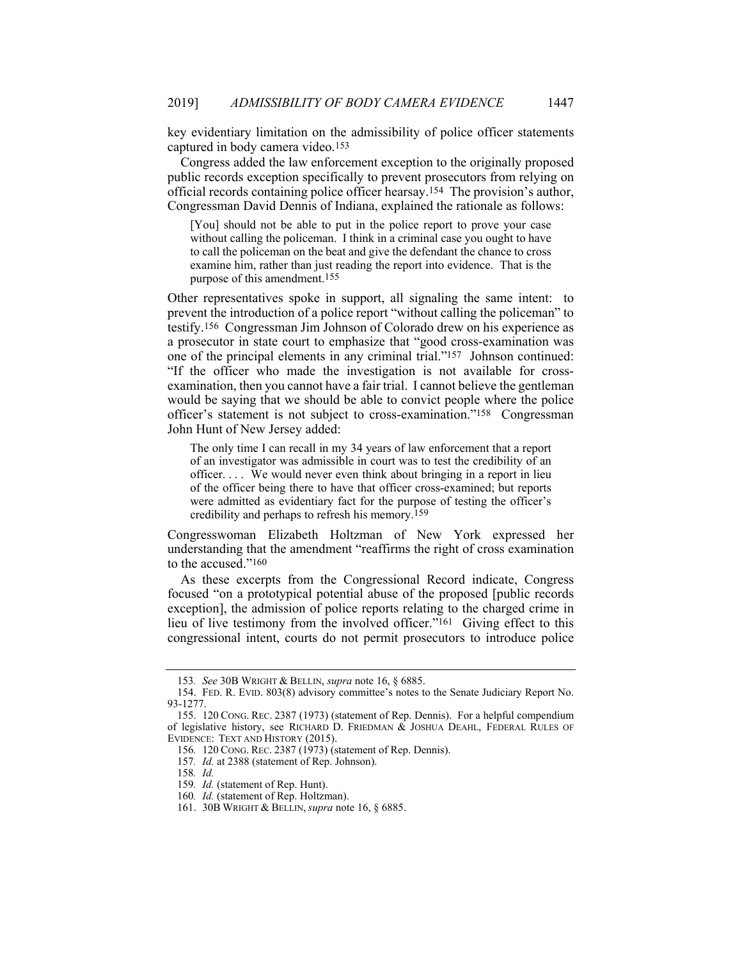key evidentiary limitation on the admissibility of police officer statements captured in body camera video.153

Congress added the law enforcement exception to the originally proposed public records exception specifically to prevent prosecutors from relying on official records containing police officer hearsay.154 The provision's author, Congressman David Dennis of Indiana, explained the rationale as follows:

[You] should not be able to put in the police report to prove your case without calling the policeman. I think in a criminal case you ought to have to call the policeman on the beat and give the defendant the chance to cross examine him, rather than just reading the report into evidence. That is the purpose of this amendment.155

Other representatives spoke in support, all signaling the same intent: to prevent the introduction of a police report "without calling the policeman" to testify.156 Congressman Jim Johnson of Colorado drew on his experience as a prosecutor in state court to emphasize that "good cross-examination was one of the principal elements in any criminal trial."157 Johnson continued: "If the officer who made the investigation is not available for crossexamination, then you cannot have a fair trial. I cannot believe the gentleman would be saying that we should be able to convict people where the police officer's statement is not subject to cross-examination."158 Congressman John Hunt of New Jersey added:

The only time I can recall in my 34 years of law enforcement that a report of an investigator was admissible in court was to test the credibility of an officer. . . . We would never even think about bringing in a report in lieu of the officer being there to have that officer cross-examined; but reports were admitted as evidentiary fact for the purpose of testing the officer's credibility and perhaps to refresh his memory.159

Congresswoman Elizabeth Holtzman of New York expressed her understanding that the amendment "reaffirms the right of cross examination to the accused "160"

As these excerpts from the Congressional Record indicate, Congress focused "on a prototypical potential abuse of the proposed [public records exception], the admission of police reports relating to the charged crime in lieu of live testimony from the involved officer."161 Giving effect to this congressional intent, courts do not permit prosecutors to introduce police

<sup>153</sup>*. See* 30B WRIGHT & BELLIN, *supra* note 16, § 6885.

 <sup>154.</sup> FED. R. EVID. 803(8) advisory committee's notes to the Senate Judiciary Report No. 93-1277.

 <sup>155. 120</sup> CONG. REC. 2387 (1973) (statement of Rep. Dennis). For a helpful compendium of legislative history, see RICHARD D. FRIEDMAN & JOSHUA DEAHL, FEDERAL RULES OF EVIDENCE: TEXT AND HISTORY (2015).

<sup>156</sup>*.* 120 CONG. REC. 2387 (1973) (statement of Rep. Dennis).

<sup>157</sup>*. Id.* at 2388 (statement of Rep. Johnson).

<sup>158</sup>*. Id.*

<sup>159</sup>*. Id.* (statement of Rep. Hunt).

<sup>160</sup>*. Id.* (statement of Rep. Holtzman).

 <sup>161. 30</sup>B WRIGHT & BELLIN, *supra* note 16, § 6885.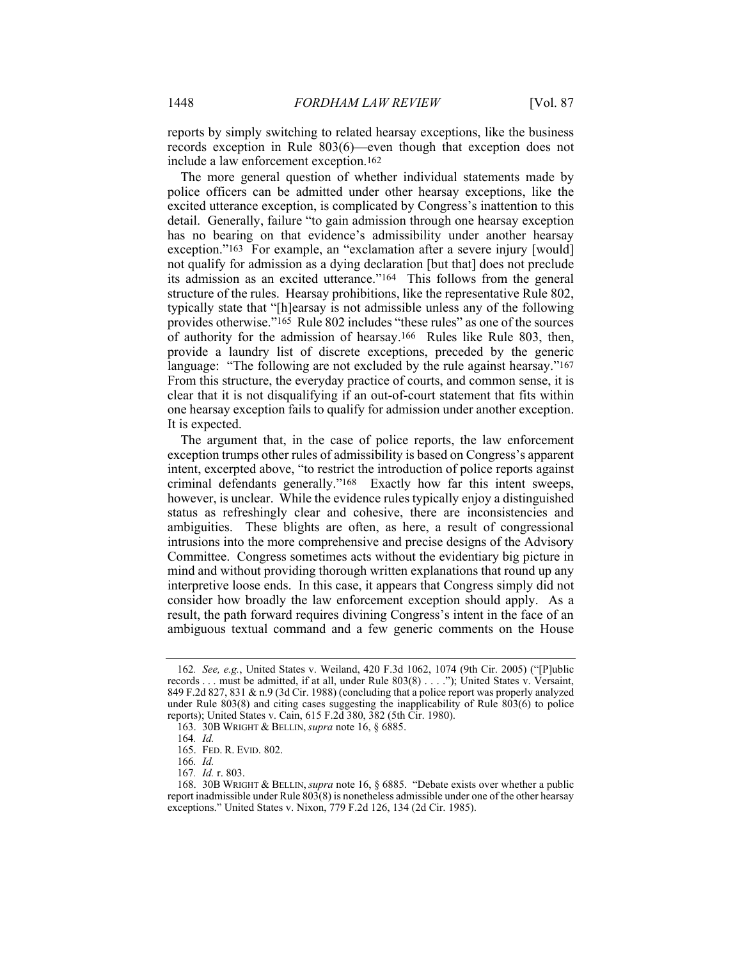reports by simply switching to related hearsay exceptions, like the business records exception in Rule 803(6)—even though that exception does not include a law enforcement exception.162

The more general question of whether individual statements made by police officers can be admitted under other hearsay exceptions, like the excited utterance exception, is complicated by Congress's inattention to this detail. Generally, failure "to gain admission through one hearsay exception has no bearing on that evidence's admissibility under another hearsay exception."163 For example, an "exclamation after a severe injury [would] not qualify for admission as a dying declaration [but that] does not preclude its admission as an excited utterance."164 This follows from the general structure of the rules. Hearsay prohibitions, like the representative Rule 802, typically state that "[h]earsay is not admissible unless any of the following provides otherwise."165 Rule 802 includes "these rules" as one of the sources of authority for the admission of hearsay.166 Rules like Rule 803, then, provide a laundry list of discrete exceptions, preceded by the generic language: "The following are not excluded by the rule against hearsay."<sup>167</sup> From this structure, the everyday practice of courts, and common sense, it is clear that it is not disqualifying if an out-of-court statement that fits within one hearsay exception fails to qualify for admission under another exception. It is expected.

The argument that, in the case of police reports, the law enforcement exception trumps other rules of admissibility is based on Congress's apparent intent, excerpted above, "to restrict the introduction of police reports against criminal defendants generally."168 Exactly how far this intent sweeps, however, is unclear. While the evidence rules typically enjoy a distinguished status as refreshingly clear and cohesive, there are inconsistencies and ambiguities. These blights are often, as here, a result of congressional intrusions into the more comprehensive and precise designs of the Advisory Committee. Congress sometimes acts without the evidentiary big picture in mind and without providing thorough written explanations that round up any interpretive loose ends. In this case, it appears that Congress simply did not consider how broadly the law enforcement exception should apply. As a result, the path forward requires divining Congress's intent in the face of an ambiguous textual command and a few generic comments on the House

<sup>162</sup>*. See, e.g.*, United States v. Weiland, 420 F.3d 1062, 1074 (9th Cir. 2005) ("[P]ublic records . . . must be admitted, if at all, under Rule 803(8) . . . ."); United States v. Versaint, 849 F.2d 827, 831 & n.9 (3d Cir. 1988) (concluding that a police report was properly analyzed under Rule 803(8) and citing cases suggesting the inapplicability of Rule 803(6) to police reports); United States v. Cain, 615 F.2d 380, 382 (5th Cir. 1980).

 <sup>163. 30</sup>B WRIGHT & BELLIN, *supra* note 16, § 6885.

<sup>164</sup>*. Id.*

 <sup>165.</sup> FED. R. EVID. 802.

<sup>166</sup>*. Id.*

<sup>167</sup>*. Id.* r. 803.

 <sup>168. 30</sup>B WRIGHT & BELLIN, *supra* note 16, § 6885. "Debate exists over whether a public report inadmissible under Rule 803(8) is nonetheless admissible under one of the other hearsay exceptions." United States v. Nixon, 779 F.2d 126, 134 (2d Cir. 1985).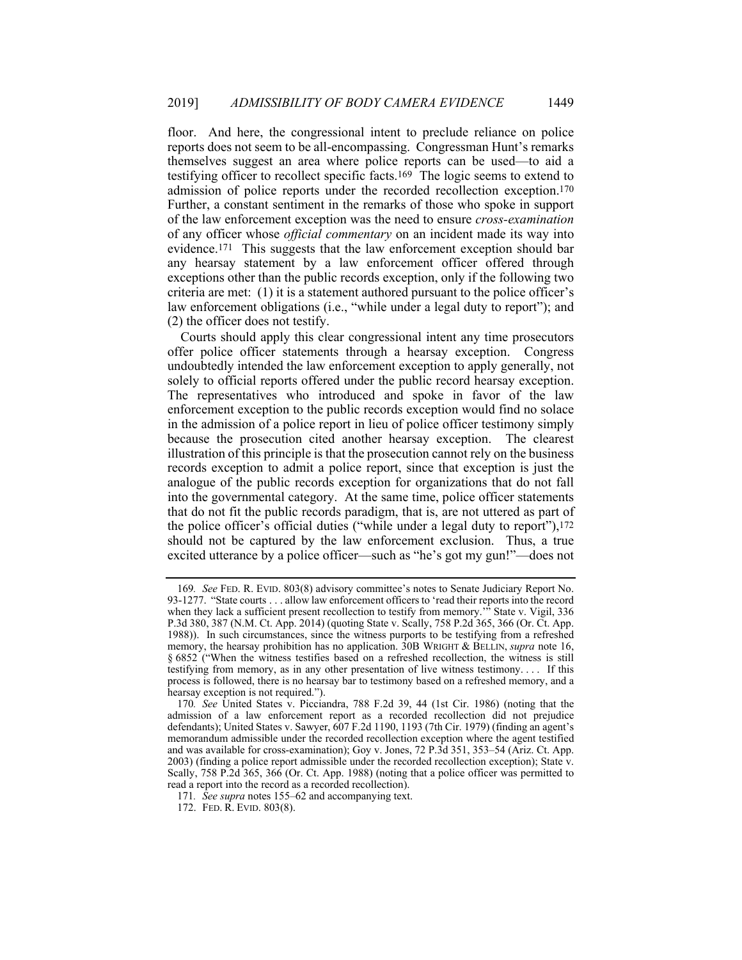floor. And here, the congressional intent to preclude reliance on police reports does not seem to be all-encompassing. Congressman Hunt's remarks themselves suggest an area where police reports can be used—to aid a testifying officer to recollect specific facts.169 The logic seems to extend to admission of police reports under the recorded recollection exception.170 Further, a constant sentiment in the remarks of those who spoke in support of the law enforcement exception was the need to ensure *cross-examination* of any officer whose *official commentary* on an incident made its way into evidence.171 This suggests that the law enforcement exception should bar any hearsay statement by a law enforcement officer offered through exceptions other than the public records exception, only if the following two criteria are met: (1) it is a statement authored pursuant to the police officer's law enforcement obligations (i.e., "while under a legal duty to report"); and (2) the officer does not testify.

Courts should apply this clear congressional intent any time prosecutors offer police officer statements through a hearsay exception. Congress undoubtedly intended the law enforcement exception to apply generally, not solely to official reports offered under the public record hearsay exception. The representatives who introduced and spoke in favor of the law enforcement exception to the public records exception would find no solace in the admission of a police report in lieu of police officer testimony simply because the prosecution cited another hearsay exception. The clearest illustration of this principle is that the prosecution cannot rely on the business records exception to admit a police report, since that exception is just the analogue of the public records exception for organizations that do not fall into the governmental category. At the same time, police officer statements that do not fit the public records paradigm, that is, are not uttered as part of the police officer's official duties ("while under a legal duty to report"),172 should not be captured by the law enforcement exclusion. Thus, a true excited utterance by a police officer—such as "he's got my gun!"—does not

<sup>169</sup>*. See* FED. R. EVID. 803(8) advisory committee's notes to Senate Judiciary Report No. 93-1277. "State courts . . . allow law enforcement officers to 'read their reports into the record when they lack a sufficient present recollection to testify from memory."<sup>5</sup> State v. Vigil, 336 P.3d 380, 387 (N.M. Ct. App. 2014) (quoting State v. Scally, 758 P.2d 365, 366 (Or. Ct. App. 1988)). In such circumstances, since the witness purports to be testifying from a refreshed memory, the hearsay prohibition has no application. 30B WRIGHT & BELLIN, *supra* note 16, § 6852 ("When the witness testifies based on a refreshed recollection, the witness is still testifying from memory, as in any other presentation of live witness testimony. . . . If this process is followed, there is no hearsay bar to testimony based on a refreshed memory, and a hearsay exception is not required.").

<sup>170</sup>*. See* United States v. Picciandra, 788 F.2d 39, 44 (1st Cir. 1986) (noting that the admission of a law enforcement report as a recorded recollection did not prejudice defendants); United States v. Sawyer, 607 F.2d 1190, 1193 (7th Cir. 1979) (finding an agent's memorandum admissible under the recorded recollection exception where the agent testified and was available for cross-examination); Goy v. Jones, 72 P.3d 351, 353–54 (Ariz. Ct. App. 2003) (finding a police report admissible under the recorded recollection exception); State v. Scally, 758 P.2d 365, 366 (Or. Ct. App. 1988) (noting that a police officer was permitted to read a report into the record as a recorded recollection).

<sup>171</sup>*. See supra* notes 155–62 and accompanying text.

 <sup>172.</sup> FED. R. EVID. 803(8).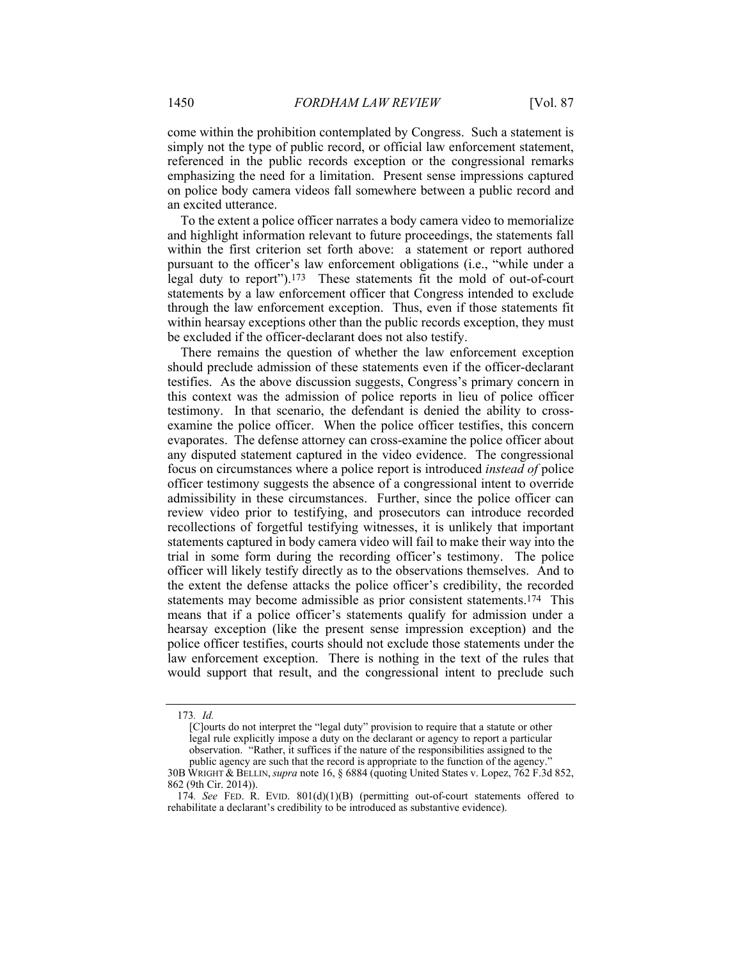come within the prohibition contemplated by Congress. Such a statement is simply not the type of public record, or official law enforcement statement, referenced in the public records exception or the congressional remarks emphasizing the need for a limitation. Present sense impressions captured on police body camera videos fall somewhere between a public record and an excited utterance.

To the extent a police officer narrates a body camera video to memorialize and highlight information relevant to future proceedings, the statements fall within the first criterion set forth above: a statement or report authored pursuant to the officer's law enforcement obligations (i.e., "while under a legal duty to report").173 These statements fit the mold of out-of-court statements by a law enforcement officer that Congress intended to exclude through the law enforcement exception. Thus, even if those statements fit within hearsay exceptions other than the public records exception, they must be excluded if the officer-declarant does not also testify.

There remains the question of whether the law enforcement exception should preclude admission of these statements even if the officer-declarant testifies. As the above discussion suggests, Congress's primary concern in this context was the admission of police reports in lieu of police officer testimony. In that scenario, the defendant is denied the ability to crossexamine the police officer. When the police officer testifies, this concern evaporates. The defense attorney can cross-examine the police officer about any disputed statement captured in the video evidence. The congressional focus on circumstances where a police report is introduced *instead of* police officer testimony suggests the absence of a congressional intent to override admissibility in these circumstances. Further, since the police officer can review video prior to testifying, and prosecutors can introduce recorded recollections of forgetful testifying witnesses, it is unlikely that important statements captured in body camera video will fail to make their way into the trial in some form during the recording officer's testimony. The police officer will likely testify directly as to the observations themselves. And to the extent the defense attacks the police officer's credibility, the recorded statements may become admissible as prior consistent statements.174 This means that if a police officer's statements qualify for admission under a hearsay exception (like the present sense impression exception) and the police officer testifies, courts should not exclude those statements under the law enforcement exception. There is nothing in the text of the rules that would support that result, and the congressional intent to preclude such

<sup>173</sup>*. Id.*

<sup>[</sup>C]ourts do not interpret the "legal duty" provision to require that a statute or other legal rule explicitly impose a duty on the declarant or agency to report a particular observation. "Rather, it suffices if the nature of the responsibilities assigned to the public agency are such that the record is appropriate to the function of the agency.

<sup>30</sup>B WRIGHT & BELLIN,*supra* note 16, § 6884 (quoting United States v. Lopez, 762 F.3d 852, 862 (9th Cir. 2014)).

<sup>174</sup>*. See* FED. R. EVID. 801(d)(1)(B) (permitting out-of-court statements offered to rehabilitate a declarant's credibility to be introduced as substantive evidence).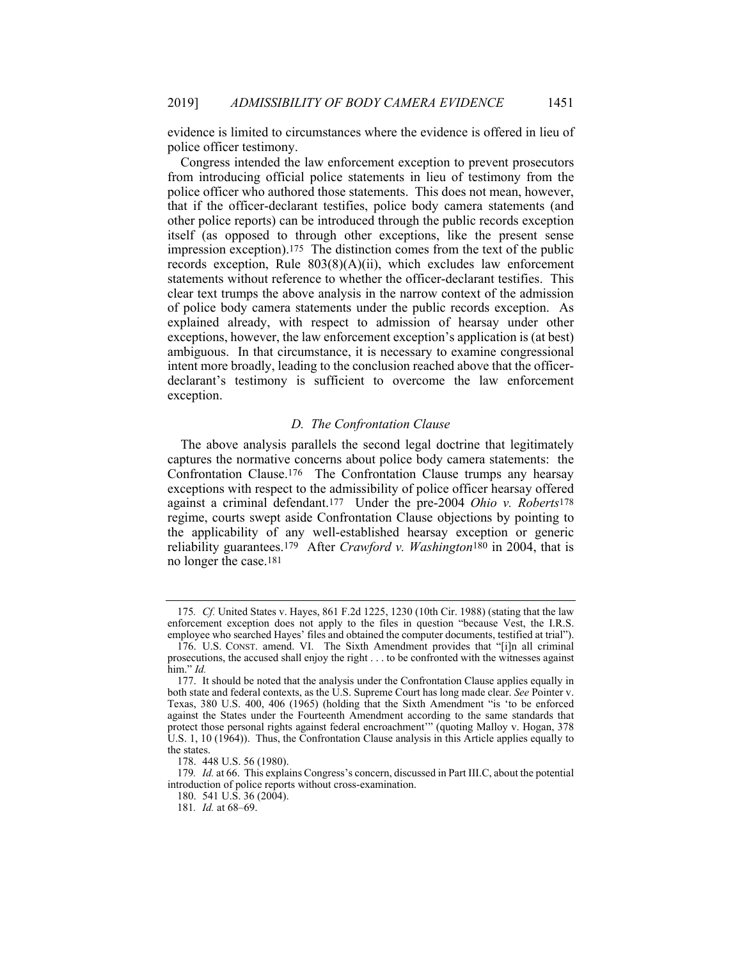evidence is limited to circumstances where the evidence is offered in lieu of police officer testimony.

Congress intended the law enforcement exception to prevent prosecutors from introducing official police statements in lieu of testimony from the police officer who authored those statements. This does not mean, however, that if the officer-declarant testifies, police body camera statements (and other police reports) can be introduced through the public records exception itself (as opposed to through other exceptions, like the present sense impression exception).175 The distinction comes from the text of the public records exception, Rule 803(8)(A)(ii), which excludes law enforcement statements without reference to whether the officer-declarant testifies. This clear text trumps the above analysis in the narrow context of the admission of police body camera statements under the public records exception. As explained already, with respect to admission of hearsay under other exceptions, however, the law enforcement exception's application is (at best) ambiguous. In that circumstance, it is necessary to examine congressional intent more broadly, leading to the conclusion reached above that the officerdeclarant's testimony is sufficient to overcome the law enforcement exception.

## *D. The Confrontation Clause*

The above analysis parallels the second legal doctrine that legitimately captures the normative concerns about police body camera statements: the Confrontation Clause.176 The Confrontation Clause trumps any hearsay exceptions with respect to the admissibility of police officer hearsay offered against a criminal defendant.177 Under the pre-2004 *Ohio v. Roberts*178 regime, courts swept aside Confrontation Clause objections by pointing to the applicability of any well-established hearsay exception or generic reliability guarantees.179 After *Crawford v. Washington*180 in 2004, that is no longer the case.181

<sup>175</sup>*. Cf.* United States v. Hayes, 861 F.2d 1225, 1230 (10th Cir. 1988) (stating that the law enforcement exception does not apply to the files in question "because Vest, the I.R.S. employee who searched Hayes' files and obtained the computer documents, testified at trial").

 <sup>176.</sup> U.S. CONST. amend. VI. The Sixth Amendment provides that "[i]n all criminal prosecutions, the accused shall enjoy the right . . . to be confronted with the witnesses against him." *Id.*

 <sup>177.</sup> It should be noted that the analysis under the Confrontation Clause applies equally in both state and federal contexts, as the U.S. Supreme Court has long made clear. *See* Pointer v. Texas, 380 U.S. 400, 406 (1965) (holding that the Sixth Amendment "is 'to be enforced against the States under the Fourteenth Amendment according to the same standards that protect those personal rights against federal encroachment'" (quoting Malloy v. Hogan, 378 U.S. 1, 10 (1964)). Thus, the Confrontation Clause analysis in this Article applies equally to the states.

 <sup>178. 448</sup> U.S. 56 (1980).

<sup>179</sup>*. Id.* at 66. This explains Congress's concern, discussed in Part III.C, about the potential introduction of police reports without cross-examination.

 <sup>180. 541</sup> U.S. 36 (2004).

<sup>181</sup>*. Id.* at 68–69.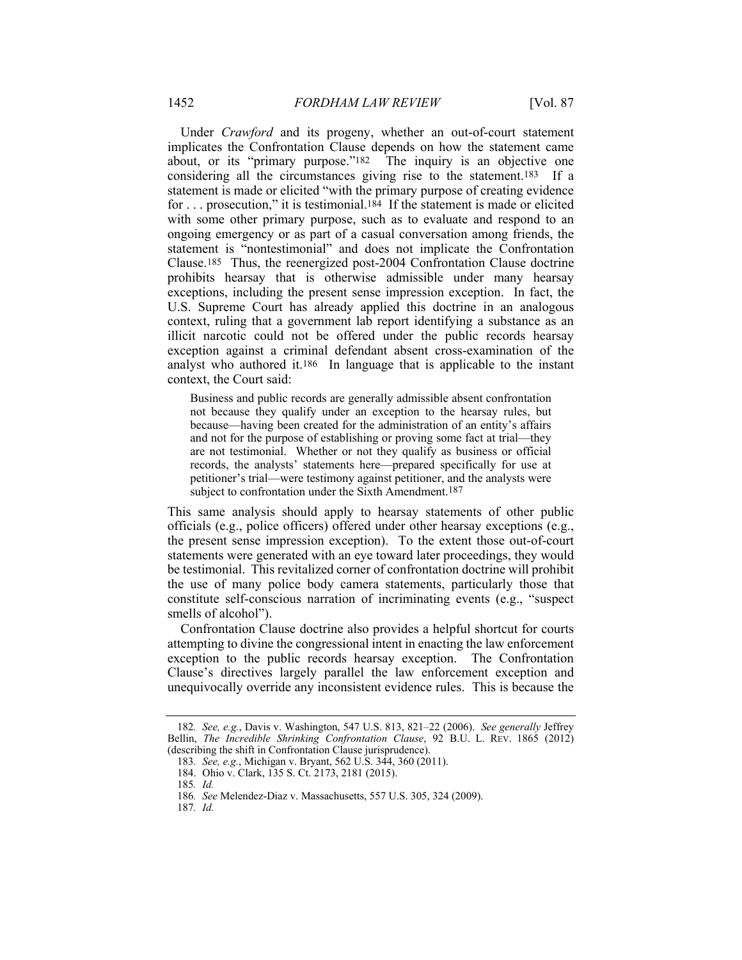Under *Crawford* and its progeny, whether an out-of-court statement implicates the Confrontation Clause depends on how the statement came about, or its "primary purpose."182 The inquiry is an objective one considering all the circumstances giving rise to the statement.183 If a statement is made or elicited "with the primary purpose of creating evidence for . . . prosecution," it is testimonial.184 If the statement is made or elicited with some other primary purpose, such as to evaluate and respond to an ongoing emergency or as part of a casual conversation among friends, the statement is "nontestimonial" and does not implicate the Confrontation Clause.185 Thus, the reenergized post-2004 Confrontation Clause doctrine prohibits hearsay that is otherwise admissible under many hearsay exceptions, including the present sense impression exception. In fact, the U.S. Supreme Court has already applied this doctrine in an analogous context, ruling that a government lab report identifying a substance as an illicit narcotic could not be offered under the public records hearsay exception against a criminal defendant absent cross-examination of the analyst who authored it.186 In language that is applicable to the instant context, the Court said:

Business and public records are generally admissible absent confrontation not because they qualify under an exception to the hearsay rules, but because—having been created for the administration of an entity's affairs and not for the purpose of establishing or proving some fact at trial—they are not testimonial. Whether or not they qualify as business or official records, the analysts' statements here—prepared specifically for use at petitioner's trial—were testimony against petitioner, and the analysts were subject to confrontation under the Sixth Amendment.<sup>187</sup>

This same analysis should apply to hearsay statements of other public officials (e.g., police officers) offered under other hearsay exceptions (e.g., the present sense impression exception). To the extent those out-of-court statements were generated with an eye toward later proceedings, they would be testimonial. This revitalized corner of confrontation doctrine will prohibit the use of many police body camera statements, particularly those that constitute self-conscious narration of incriminating events (e.g., "suspect smells of alcohol").

Confrontation Clause doctrine also provides a helpful shortcut for courts attempting to divine the congressional intent in enacting the law enforcement exception to the public records hearsay exception. The Confrontation Clause's directives largely parallel the law enforcement exception and unequivocally override any inconsistent evidence rules. This is because the

<sup>182</sup>*. See, e.g.*, Davis v. Washington, 547 U.S. 813, 821–22 (2006). *See generally* Jeffrey Bellin, *The Incredible Shrinking Confrontation Clause*, 92 B.U. L. REV. 1865 (2012) (describing the shift in Confrontation Clause jurisprudence).

<sup>183</sup>*. See, e.g.*, Michigan v. Bryant, 562 U.S. 344, 360 (2011).

 <sup>184.</sup> Ohio v. Clark, 135 S. Ct. 2173, 2181 (2015).

<sup>185</sup>*. Id.*

<sup>186</sup>*. See* Melendez-Diaz v. Massachusetts, 557 U.S. 305, 324 (2009).

<sup>187</sup>*. Id.*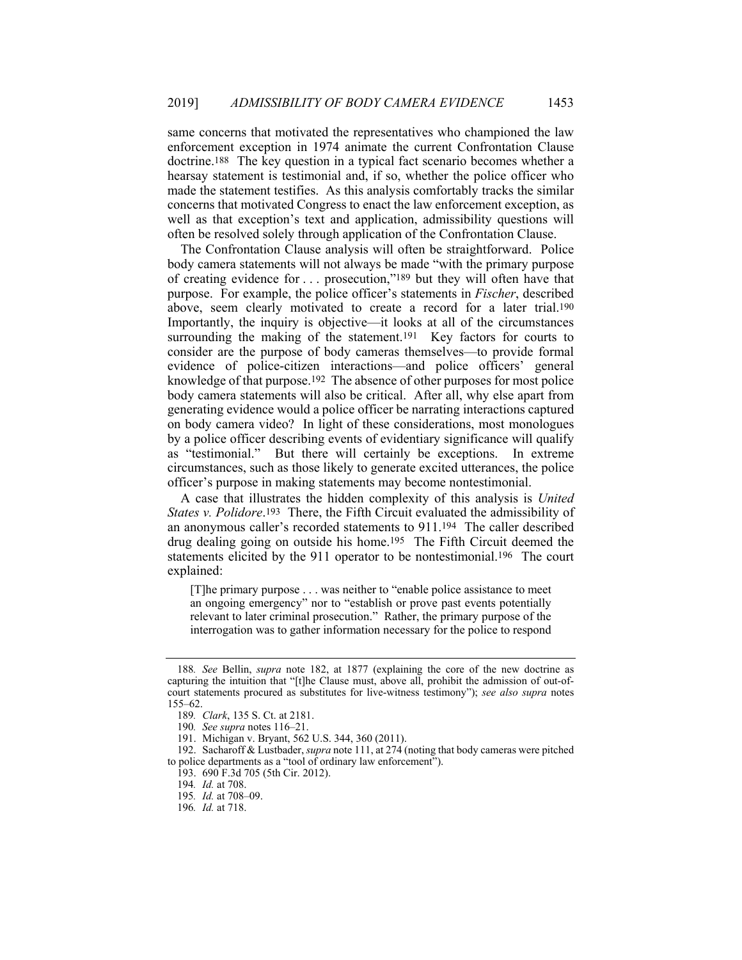same concerns that motivated the representatives who championed the law enforcement exception in 1974 animate the current Confrontation Clause doctrine.188 The key question in a typical fact scenario becomes whether a hearsay statement is testimonial and, if so, whether the police officer who made the statement testifies. As this analysis comfortably tracks the similar concerns that motivated Congress to enact the law enforcement exception, as well as that exception's text and application, admissibility questions will often be resolved solely through application of the Confrontation Clause.

The Confrontation Clause analysis will often be straightforward. Police body camera statements will not always be made "with the primary purpose of creating evidence for . . . prosecution,"189 but they will often have that purpose. For example, the police officer's statements in *Fischer*, described above, seem clearly motivated to create a record for a later trial.190 Importantly, the inquiry is objective—it looks at all of the circumstances surrounding the making of the statement.<sup>191</sup> Key factors for courts to consider are the purpose of body cameras themselves—to provide formal evidence of police-citizen interactions—and police officers' general knowledge of that purpose.192 The absence of other purposes for most police body camera statements will also be critical. After all, why else apart from generating evidence would a police officer be narrating interactions captured on body camera video? In light of these considerations, most monologues by a police officer describing events of evidentiary significance will qualify as "testimonial." But there will certainly be exceptions. In extreme circumstances, such as those likely to generate excited utterances, the police officer's purpose in making statements may become nontestimonial.

A case that illustrates the hidden complexity of this analysis is *United States v. Polidore*.193 There, the Fifth Circuit evaluated the admissibility of an anonymous caller's recorded statements to 911.194 The caller described drug dealing going on outside his home.195 The Fifth Circuit deemed the statements elicited by the 911 operator to be nontestimonial.196 The court explained:

[T]he primary purpose . . . was neither to "enable police assistance to meet an ongoing emergency" nor to "establish or prove past events potentially relevant to later criminal prosecution." Rather, the primary purpose of the interrogation was to gather information necessary for the police to respond

<sup>188</sup>*. See* Bellin, *supra* note 182, at 1877 (explaining the core of the new doctrine as capturing the intuition that "[t]he Clause must, above all, prohibit the admission of out-ofcourt statements procured as substitutes for live-witness testimony"); *see also supra* notes 155–62.

<sup>189</sup>*. Clark*, 135 S. Ct. at 2181.

<sup>190</sup>*. See supra* notes 116–21.

 <sup>191.</sup> Michigan v. Bryant, 562 U.S. 344, 360 (2011).

 <sup>192.</sup> Sacharoff & Lustbader, *supra* note 111, at 274 (noting that body cameras were pitched to police departments as a "tool of ordinary law enforcement").

 <sup>193. 690</sup> F.3d 705 (5th Cir. 2012).

<sup>194</sup>*. Id.* at 708.

<sup>195</sup>*. Id.* at 708–09.

<sup>196</sup>*. Id.* at 718.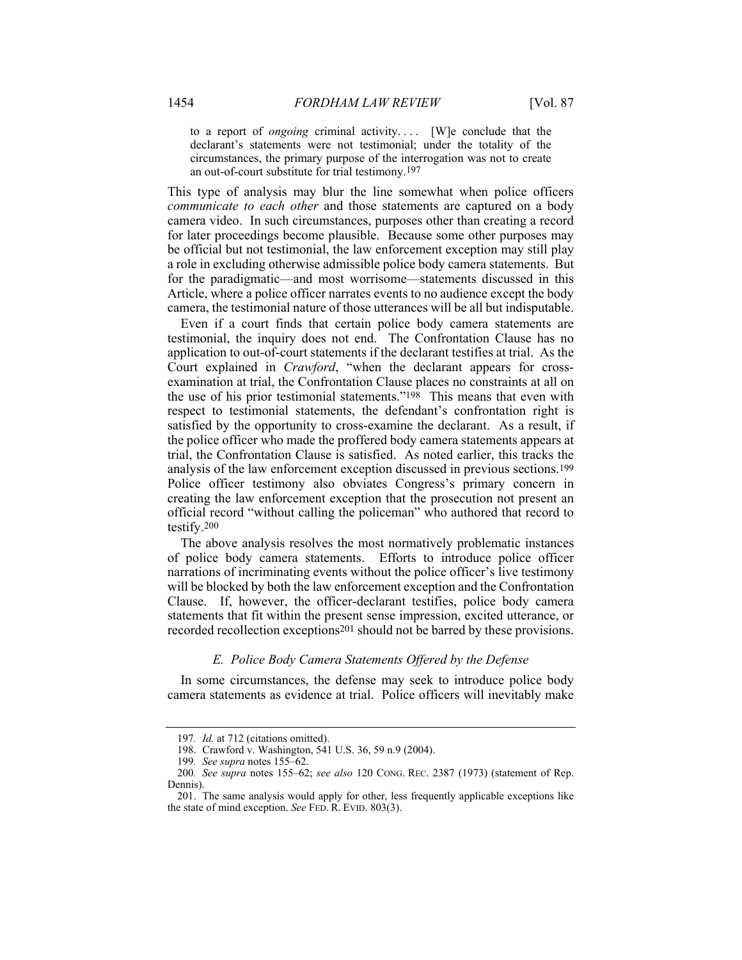to a report of *ongoing* criminal activity.... [W]e conclude that the declarant's statements were not testimonial; under the totality of the circumstances, the primary purpose of the interrogation was not to create an out-of-court substitute for trial testimony.197

This type of analysis may blur the line somewhat when police officers *communicate to each other* and those statements are captured on a body camera video. In such circumstances, purposes other than creating a record for later proceedings become plausible. Because some other purposes may be official but not testimonial, the law enforcement exception may still play a role in excluding otherwise admissible police body camera statements. But for the paradigmatic—and most worrisome—statements discussed in this Article, where a police officer narrates events to no audience except the body camera, the testimonial nature of those utterances will be all but indisputable.

Even if a court finds that certain police body camera statements are testimonial, the inquiry does not end. The Confrontation Clause has no application to out-of-court statements if the declarant testifies at trial. As the Court explained in *Crawford*, "when the declarant appears for crossexamination at trial, the Confrontation Clause places no constraints at all on the use of his prior testimonial statements."<sup>198</sup> This means that even with respect to testimonial statements, the defendant's confrontation right is satisfied by the opportunity to cross-examine the declarant. As a result, if the police officer who made the proffered body camera statements appears at trial, the Confrontation Clause is satisfied. As noted earlier, this tracks the analysis of the law enforcement exception discussed in previous sections.199 Police officer testimony also obviates Congress's primary concern in creating the law enforcement exception that the prosecution not present an official record "without calling the policeman" who authored that record to testify.200

The above analysis resolves the most normatively problematic instances of police body camera statements. Efforts to introduce police officer narrations of incriminating events without the police officer's live testimony will be blocked by both the law enforcement exception and the Confrontation Clause. If, however, the officer-declarant testifies, police body camera statements that fit within the present sense impression, excited utterance, or recorded recollection exceptions201 should not be barred by these provisions.

#### *E. Police Body Camera Statements Offered by the Defense*

In some circumstances, the defense may seek to introduce police body camera statements as evidence at trial. Police officers will inevitably make

<sup>197</sup>*. Id.* at 712 (citations omitted).

 <sup>198.</sup> Crawford v. Washington, 541 U.S. 36, 59 n.9 (2004).

<sup>199</sup>*. See supra* notes 155–62.

<sup>200</sup>*. See supra* notes 155–62; *see also* 120 CONG. REC. 2387 (1973) (statement of Rep. Dennis).

 <sup>201.</sup> The same analysis would apply for other, less frequently applicable exceptions like the state of mind exception. *See* FED. R. EVID. 803(3).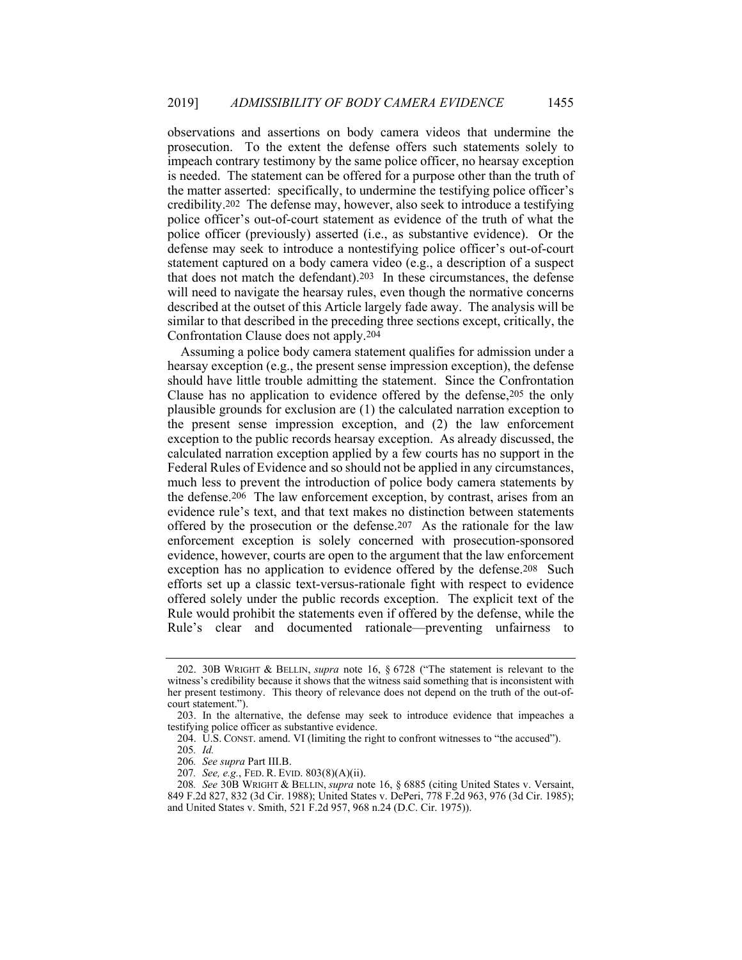observations and assertions on body camera videos that undermine the prosecution. To the extent the defense offers such statements solely to impeach contrary testimony by the same police officer, no hearsay exception is needed. The statement can be offered for a purpose other than the truth of the matter asserted: specifically, to undermine the testifying police officer's credibility.202 The defense may, however, also seek to introduce a testifying police officer's out-of-court statement as evidence of the truth of what the police officer (previously) asserted (i.e., as substantive evidence). Or the defense may seek to introduce a nontestifying police officer's out-of-court statement captured on a body camera video (e.g., a description of a suspect that does not match the defendant).203 In these circumstances, the defense will need to navigate the hearsay rules, even though the normative concerns described at the outset of this Article largely fade away. The analysis will be similar to that described in the preceding three sections except, critically, the Confrontation Clause does not apply.204

Assuming a police body camera statement qualifies for admission under a hearsay exception (e.g., the present sense impression exception), the defense should have little trouble admitting the statement. Since the Confrontation Clause has no application to evidence offered by the defense,205 the only plausible grounds for exclusion are (1) the calculated narration exception to the present sense impression exception, and (2) the law enforcement exception to the public records hearsay exception. As already discussed, the calculated narration exception applied by a few courts has no support in the Federal Rules of Evidence and so should not be applied in any circumstances, much less to prevent the introduction of police body camera statements by the defense.206 The law enforcement exception, by contrast, arises from an evidence rule's text, and that text makes no distinction between statements offered by the prosecution or the defense.207 As the rationale for the law enforcement exception is solely concerned with prosecution-sponsored evidence, however, courts are open to the argument that the law enforcement exception has no application to evidence offered by the defense.208 Such efforts set up a classic text-versus-rationale fight with respect to evidence offered solely under the public records exception. The explicit text of the Rule would prohibit the statements even if offered by the defense, while the Rule's clear and documented rationale—preventing unfairness to

 <sup>202. 30</sup>B WRIGHT & BELLIN, *supra* note 16, § 6728 ("The statement is relevant to the witness's credibility because it shows that the witness said something that is inconsistent with her present testimony. This theory of relevance does not depend on the truth of the out-ofcourt statement.").

 <sup>203.</sup> In the alternative, the defense may seek to introduce evidence that impeaches a testifying police officer as substantive evidence.

 <sup>204.</sup> U.S. CONST. amend. VI (limiting the right to confront witnesses to "the accused").

<sup>205</sup>*. Id.*

<sup>206</sup>*. See supra* Part III.B.

<sup>207</sup>*. See, e.g.*, FED. R. EVID. 803(8)(A)(ii).

<sup>208</sup>*. See* 30B WRIGHT & BELLIN, *supra* note 16, § 6885 (citing United States v. Versaint, 849 F.2d 827, 832 (3d Cir. 1988); United States v. DePeri, 778 F.2d 963, 976 (3d Cir. 1985); and United States v. Smith, 521 F.2d 957, 968 n.24 (D.C. Cir. 1975)).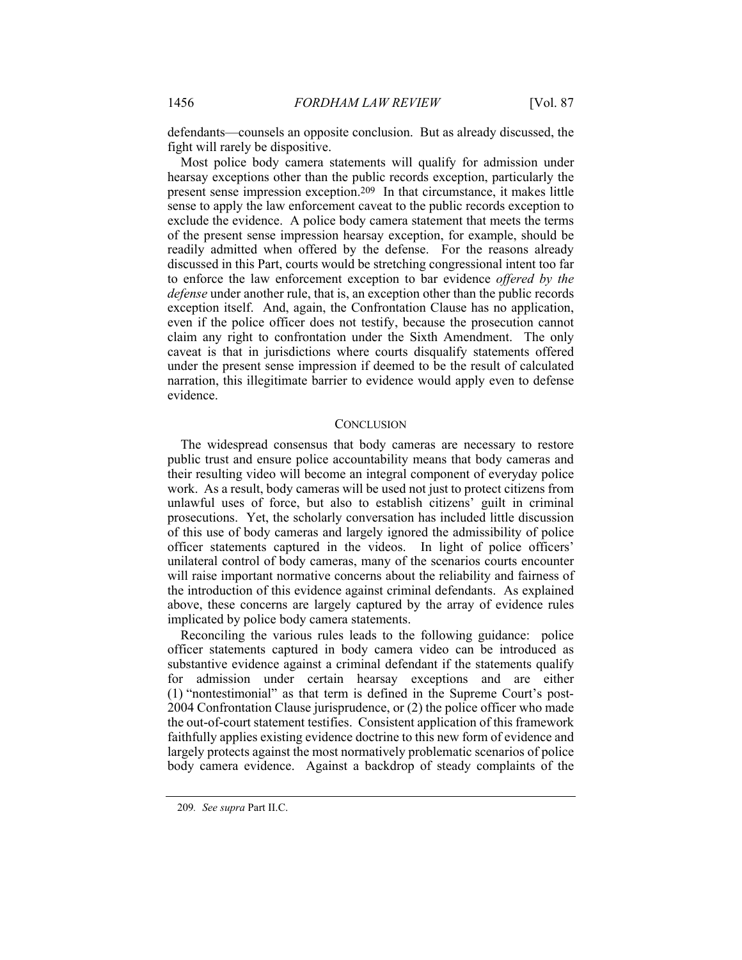defendants—counsels an opposite conclusion. But as already discussed, the fight will rarely be dispositive.

Most police body camera statements will qualify for admission under hearsay exceptions other than the public records exception, particularly the present sense impression exception.209 In that circumstance, it makes little sense to apply the law enforcement caveat to the public records exception to exclude the evidence. A police body camera statement that meets the terms of the present sense impression hearsay exception, for example, should be readily admitted when offered by the defense. For the reasons already discussed in this Part, courts would be stretching congressional intent too far to enforce the law enforcement exception to bar evidence *offered by the defense* under another rule, that is, an exception other than the public records exception itself. And, again, the Confrontation Clause has no application, even if the police officer does not testify, because the prosecution cannot claim any right to confrontation under the Sixth Amendment. The only caveat is that in jurisdictions where courts disqualify statements offered under the present sense impression if deemed to be the result of calculated narration, this illegitimate barrier to evidence would apply even to defense evidence.

#### **CONCLUSION**

The widespread consensus that body cameras are necessary to restore public trust and ensure police accountability means that body cameras and their resulting video will become an integral component of everyday police work. As a result, body cameras will be used not just to protect citizens from unlawful uses of force, but also to establish citizens' guilt in criminal prosecutions. Yet, the scholarly conversation has included little discussion of this use of body cameras and largely ignored the admissibility of police officer statements captured in the videos. In light of police officers' unilateral control of body cameras, many of the scenarios courts encounter will raise important normative concerns about the reliability and fairness of the introduction of this evidence against criminal defendants. As explained above, these concerns are largely captured by the array of evidence rules implicated by police body camera statements.

Reconciling the various rules leads to the following guidance: police officer statements captured in body camera video can be introduced as substantive evidence against a criminal defendant if the statements qualify for admission under certain hearsay exceptions and are either (1) "nontestimonial" as that term is defined in the Supreme Court's post-2004 Confrontation Clause jurisprudence, or (2) the police officer who made the out-of-court statement testifies. Consistent application of this framework faithfully applies existing evidence doctrine to this new form of evidence and largely protects against the most normatively problematic scenarios of police body camera evidence. Against a backdrop of steady complaints of the

<sup>209</sup>*. See supra* Part II.C.